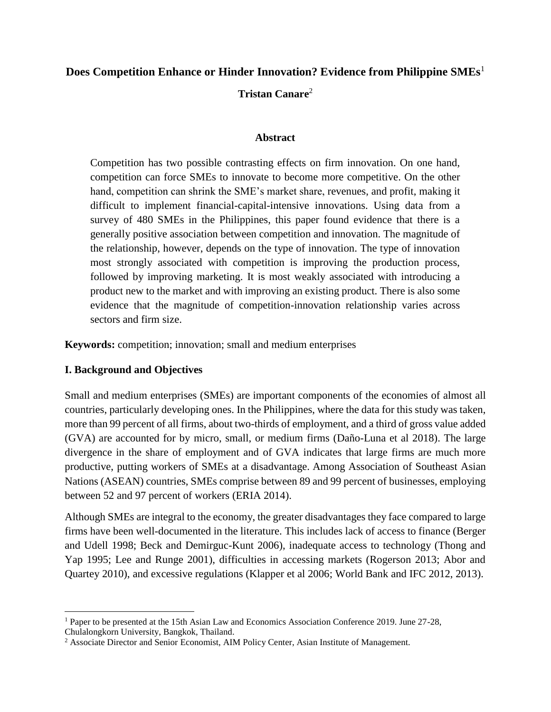# **Does Competition Enhance or Hinder Innovation? Evidence from Philippine SMEs**<sup>1</sup>

**Tristan Canare**<sup>2</sup>

#### **Abstract**

Competition has two possible contrasting effects on firm innovation. On one hand, competition can force SMEs to innovate to become more competitive. On the other hand, competition can shrink the SME's market share, revenues, and profit, making it difficult to implement financial-capital-intensive innovations. Using data from a survey of 480 SMEs in the Philippines, this paper found evidence that there is a generally positive association between competition and innovation. The magnitude of the relationship, however, depends on the type of innovation. The type of innovation most strongly associated with competition is improving the production process, followed by improving marketing. It is most weakly associated with introducing a product new to the market and with improving an existing product. There is also some evidence that the magnitude of competition-innovation relationship varies across sectors and firm size.

**Keywords:** competition; innovation; small and medium enterprises

## **I. Background and Objectives**

 $\overline{\phantom{a}}$ 

Small and medium enterprises (SMEs) are important components of the economies of almost all countries, particularly developing ones. In the Philippines, where the data for this study was taken, more than 99 percent of all firms, about two-thirds of employment, and a third of gross value added (GVA) are accounted for by micro, small, or medium firms (Daño-Luna et al 2018). The large divergence in the share of employment and of GVA indicates that large firms are much more productive, putting workers of SMEs at a disadvantage. Among Association of Southeast Asian Nations (ASEAN) countries, SMEs comprise between 89 and 99 percent of businesses, employing between 52 and 97 percent of workers (ERIA 2014).

Although SMEs are integral to the economy, the greater disadvantages they face compared to large firms have been well-documented in the literature. This includes lack of access to finance (Berger and Udell 1998; Beck and Demirguc-Kunt 2006), inadequate access to technology (Thong and Yap 1995; Lee and Runge 2001), difficulties in accessing markets (Rogerson 2013; Abor and Quartey 2010), and excessive regulations (Klapper et al 2006; World Bank and IFC 2012, 2013).

<sup>1</sup> Paper to be presented at the 15th Asian Law and Economics Association Conference 2019. June 27-28, Chulalongkorn University, Bangkok, Thailand.

<sup>2</sup> Associate Director and Senior Economist, AIM Policy Center, Asian Institute of Management.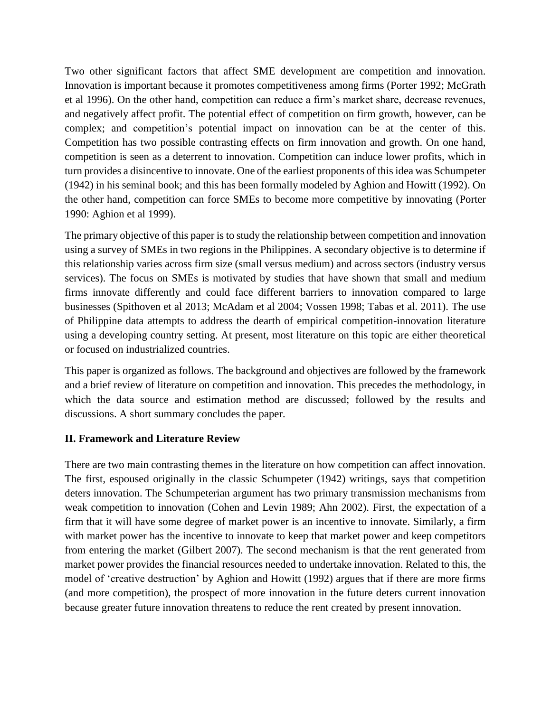Two other significant factors that affect SME development are competition and innovation. Innovation is important because it promotes competitiveness among firms (Porter 1992; McGrath et al 1996). On the other hand, competition can reduce a firm's market share, decrease revenues, and negatively affect profit. The potential effect of competition on firm growth, however, can be complex; and competition's potential impact on innovation can be at the center of this. Competition has two possible contrasting effects on firm innovation and growth. On one hand, competition is seen as a deterrent to innovation. Competition can induce lower profits, which in turn provides a disincentive to innovate. One of the earliest proponents of this idea was Schumpeter (1942) in his seminal book; and this has been formally modeled by Aghion and Howitt (1992). On the other hand, competition can force SMEs to become more competitive by innovating (Porter 1990: Aghion et al 1999).

The primary objective of this paper is to study the relationship between competition and innovation using a survey of SMEs in two regions in the Philippines. A secondary objective is to determine if this relationship varies across firm size (small versus medium) and across sectors (industry versus services). The focus on SMEs is motivated by studies that have shown that small and medium firms innovate differently and could face different barriers to innovation compared to large businesses (Spithoven et al 2013; McAdam et al 2004; Vossen 1998; Tabas et al. 2011). The use of Philippine data attempts to address the dearth of empirical competition-innovation literature using a developing country setting. At present, most literature on this topic are either theoretical or focused on industrialized countries.

This paper is organized as follows. The background and objectives are followed by the framework and a brief review of literature on competition and innovation. This precedes the methodology, in which the data source and estimation method are discussed; followed by the results and discussions. A short summary concludes the paper.

#### **II. Framework and Literature Review**

There are two main contrasting themes in the literature on how competition can affect innovation. The first, espoused originally in the classic Schumpeter (1942) writings, says that competition deters innovation. The Schumpeterian argument has two primary transmission mechanisms from weak competition to innovation (Cohen and Levin 1989; Ahn 2002). First, the expectation of a firm that it will have some degree of market power is an incentive to innovate. Similarly, a firm with market power has the incentive to innovate to keep that market power and keep competitors from entering the market (Gilbert 2007). The second mechanism is that the rent generated from market power provides the financial resources needed to undertake innovation. Related to this, the model of 'creative destruction' by Aghion and Howitt (1992) argues that if there are more firms (and more competition), the prospect of more innovation in the future deters current innovation because greater future innovation threatens to reduce the rent created by present innovation.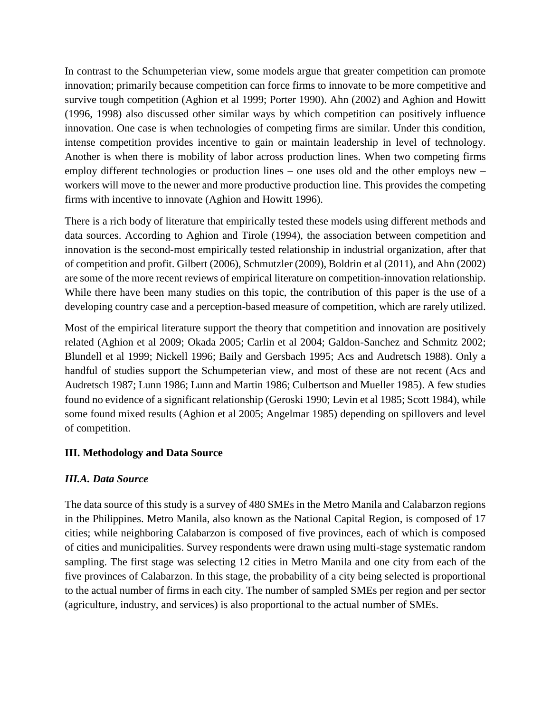In contrast to the Schumpeterian view, some models argue that greater competition can promote innovation; primarily because competition can force firms to innovate to be more competitive and survive tough competition (Aghion et al 1999; Porter 1990). Ahn (2002) and Aghion and Howitt (1996, 1998) also discussed other similar ways by which competition can positively influence innovation. One case is when technologies of competing firms are similar. Under this condition, intense competition provides incentive to gain or maintain leadership in level of technology. Another is when there is mobility of labor across production lines. When two competing firms employ different technologies or production lines – one uses old and the other employs new – workers will move to the newer and more productive production line. This provides the competing firms with incentive to innovate (Aghion and Howitt 1996).

There is a rich body of literature that empirically tested these models using different methods and data sources. According to Aghion and Tirole (1994), the association between competition and innovation is the second-most empirically tested relationship in industrial organization, after that of competition and profit. Gilbert (2006), Schmutzler (2009), Boldrin et al (2011), and Ahn (2002) are some of the more recent reviews of empirical literature on competition-innovation relationship. While there have been many studies on this topic, the contribution of this paper is the use of a developing country case and a perception-based measure of competition, which are rarely utilized.

Most of the empirical literature support the theory that competition and innovation are positively related (Aghion et al 2009; Okada 2005; Carlin et al 2004; Galdon-Sanchez and Schmitz 2002; Blundell et al 1999; Nickell 1996; Baily and Gersbach 1995; Acs and Audretsch 1988). Only a handful of studies support the Schumpeterian view, and most of these are not recent (Acs and Audretsch 1987; Lunn 1986; Lunn and Martin 1986; Culbertson and Mueller 1985). A few studies found no evidence of a significant relationship (Geroski 1990; Levin et al 1985; Scott 1984), while some found mixed results (Aghion et al 2005; Angelmar 1985) depending on spillovers and level of competition.

## **III. Methodology and Data Source**

## *III.A. Data Source*

The data source of this study is a survey of 480 SMEs in the Metro Manila and Calabarzon regions in the Philippines. Metro Manila, also known as the National Capital Region, is composed of 17 cities; while neighboring Calabarzon is composed of five provinces, each of which is composed of cities and municipalities. Survey respondents were drawn using multi-stage systematic random sampling. The first stage was selecting 12 cities in Metro Manila and one city from each of the five provinces of Calabarzon. In this stage, the probability of a city being selected is proportional to the actual number of firms in each city. The number of sampled SMEs per region and per sector (agriculture, industry, and services) is also proportional to the actual number of SMEs.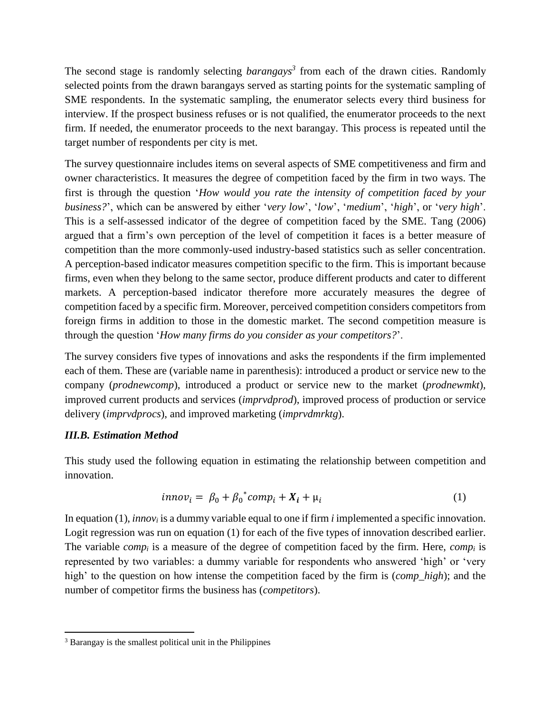The second stage is randomly selecting *barangays<sup>3</sup>* from each of the drawn cities. Randomly selected points from the drawn barangays served as starting points for the systematic sampling of SME respondents. In the systematic sampling, the enumerator selects every third business for interview. If the prospect business refuses or is not qualified, the enumerator proceeds to the next firm. If needed, the enumerator proceeds to the next barangay. This process is repeated until the target number of respondents per city is met.

The survey questionnaire includes items on several aspects of SME competitiveness and firm and owner characteristics. It measures the degree of competition faced by the firm in two ways. The first is through the question '*How would you rate the intensity of competition faced by your business?*', which can be answered by either '*very low*', '*low*', '*medium*', '*high*', or '*very high*'. This is a self-assessed indicator of the degree of competition faced by the SME. Tang (2006) argued that a firm's own perception of the level of competition it faces is a better measure of competition than the more commonly-used industry-based statistics such as seller concentration. A perception-based indicator measures competition specific to the firm. This is important because firms, even when they belong to the same sector, produce different products and cater to different markets. A perception-based indicator therefore more accurately measures the degree of competition faced by a specific firm. Moreover, perceived competition considers competitors from foreign firms in addition to those in the domestic market. The second competition measure is through the question '*How many firms do you consider as your competitors?*'.

The survey considers five types of innovations and asks the respondents if the firm implemented each of them. These are (variable name in parenthesis): introduced a product or service new to the company (*prodnewcomp*), introduced a product or service new to the market (*prodnewmkt*), improved current products and services (*imprvdprod*), improved process of production or service delivery (*imprvdprocs*), and improved marketing (*imprvdmrktg*).

#### *III.B. Estimation Method*

 $\overline{\phantom{a}}$ 

This study used the following equation in estimating the relationship between competition and innovation.

$$
innov_i = \beta_0 + \beta_0^*comp_i + X_i + \mu_i \tag{1}
$$

In equation (1), *innov<sup>i</sup>* is a dummy variable equal to one if firm *i* implemented a specific innovation. Logit regression was run on equation (1) for each of the five types of innovation described earlier. The variable *comp<sup>i</sup>* is a measure of the degree of competition faced by the firm. Here, *comp<sup>i</sup>* is represented by two variables: a dummy variable for respondents who answered 'high' or 'very high' to the question on how intense the competition faced by the firm is (*comp\_high*); and the number of competitor firms the business has (*competitors*).

<sup>&</sup>lt;sup>3</sup> Barangay is the smallest political unit in the Philippines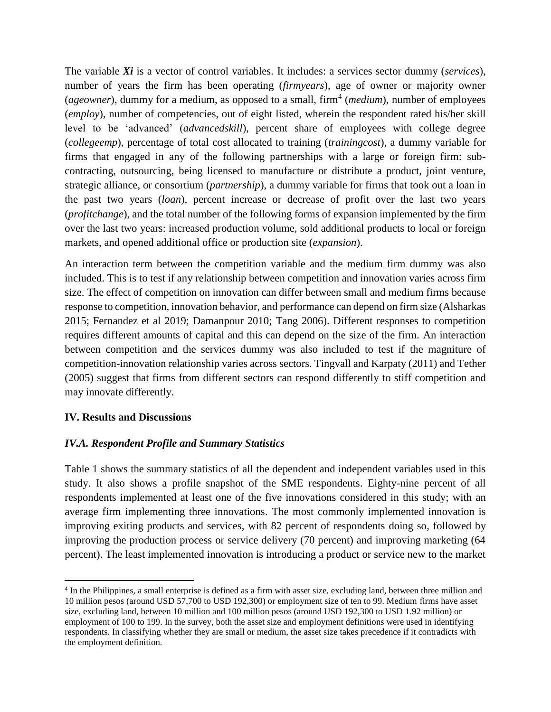The variable *Xi* is a vector of control variables. It includes: a services sector dummy (*services*), number of years the firm has been operating (*firmyears*), age of owner or majority owner (*ageowner*), dummy for a medium, as opposed to a small, firm<sup>4</sup> (*medium*), number of employees (*employ*), number of competencies, out of eight listed, wherein the respondent rated his/her skill level to be 'advanced' (*advancedskill*), percent share of employees with college degree (*collegeemp*), percentage of total cost allocated to training (*trainingcost*), a dummy variable for firms that engaged in any of the following partnerships with a large or foreign firm: subcontracting, outsourcing, being licensed to manufacture or distribute a product, joint venture, strategic alliance, or consortium (*partnership*), a dummy variable for firms that took out a loan in the past two years (*loan*), percent increase or decrease of profit over the last two years (*profitchange*), and the total number of the following forms of expansion implemented by the firm over the last two years: increased production volume, sold additional products to local or foreign markets, and opened additional office or production site (*expansion*).

An interaction term between the competition variable and the medium firm dummy was also included. This is to test if any relationship between competition and innovation varies across firm size. The effect of competition on innovation can differ between small and medium firms because response to competition, innovation behavior, and performance can depend on firm size (Alsharkas 2015; Fernandez et al 2019; Damanpour 2010; Tang 2006). Different responses to competition requires different amounts of capital and this can depend on the size of the firm. An interaction between competition and the services dummy was also included to test if the magniture of competition-innovation relationship varies across sectors. Tingvall and Karpaty (2011) and Tether (2005) suggest that firms from different sectors can respond differently to stiff competition and may innovate differently.

## **IV. Results and Discussions**

 $\overline{\phantom{a}}$ 

#### *IV.A. Respondent Profile and Summary Statistics*

Table 1 shows the summary statistics of all the dependent and independent variables used in this study. It also shows a profile snapshot of the SME respondents. Eighty-nine percent of all respondents implemented at least one of the five innovations considered in this study; with an average firm implementing three innovations. The most commonly implemented innovation is improving exiting products and services, with 82 percent of respondents doing so, followed by improving the production process or service delivery (70 percent) and improving marketing (64 percent). The least implemented innovation is introducing a product or service new to the market

<sup>4</sup> In the Philippines, a small enterprise is defined as a firm with asset size, excluding land, between three million and 10 million pesos (around USD 57,700 to USD 192,300) or employment size of ten to 99. Medium firms have asset size, excluding land, between 10 million and 100 million pesos (around USD 192,300 to USD 1.92 million) or employment of 100 to 199. In the survey, both the asset size and employment definitions were used in identifying respondents. In classifying whether they are small or medium, the asset size takes precedence if it contradicts with the employment definition.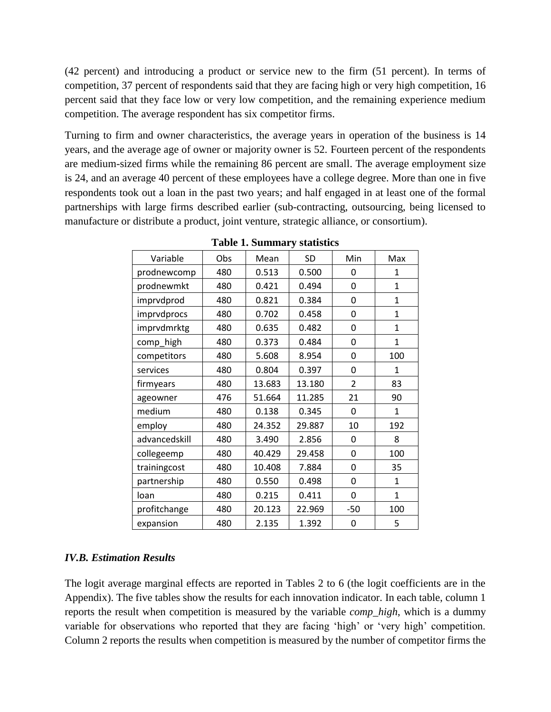(42 percent) and introducing a product or service new to the firm (51 percent). In terms of competition, 37 percent of respondents said that they are facing high or very high competition, 16 percent said that they face low or very low competition, and the remaining experience medium competition. The average respondent has six competitor firms.

Turning to firm and owner characteristics, the average years in operation of the business is 14 years, and the average age of owner or majority owner is 52. Fourteen percent of the respondents are medium-sized firms while the remaining 86 percent are small. The average employment size is 24, and an average 40 percent of these employees have a college degree. More than one in five respondents took out a loan in the past two years; and half engaged in at least one of the formal partnerships with large firms described earlier (sub-contracting, outsourcing, being licensed to manufacture or distribute a product, joint venture, strategic alliance, or consortium).

| Variable      | Obs | Mean   | <b>SD</b> | Min            | Max          |
|---------------|-----|--------|-----------|----------------|--------------|
| prodnewcomp   | 480 | 0.513  | 0.500     | 0              | 1            |
| prodnewmkt    | 480 | 0.421  | 0.494     | 0              | $\mathbf{1}$ |
| imprvdprod    | 480 | 0.821  | 0.384     | 0              | 1            |
| imprvdprocs   | 480 | 0.702  | 0.458     | 0              | $\mathbf{1}$ |
| imprvdmrktg   | 480 | 0.635  | 0.482     | 0              | 1            |
| comp_high     | 480 | 0.373  | 0.484     | 0              | $\mathbf 1$  |
| competitors   | 480 | 5.608  | 8.954     | 0              | 100          |
| services      | 480 | 0.804  | 0.397     | 0              | 1            |
| firmyears     | 480 | 13.683 | 13.180    | $\overline{2}$ | 83           |
| ageowner      | 476 | 51.664 | 11.285    | 21             | 90           |
| medium        | 480 | 0.138  | 0.345     | 0              | $\mathbf{1}$ |
| employ        | 480 | 24.352 | 29.887    | 10             | 192          |
| advancedskill | 480 | 3.490  | 2.856     | 0              | 8            |
| collegeemp    | 480 | 40.429 | 29.458    | 0              | 100          |
| trainingcost  | 480 | 10.408 | 7.884     | 0              | 35           |
| partnership   | 480 | 0.550  | 0.498     | 0              | $\mathbf{1}$ |
| loan          | 480 | 0.215  | 0.411     | 0              | $\mathbf 1$  |
| profitchange  | 480 | 20.123 | 22.969    | $-50$          | 100          |
| expansion     | 480 | 2.135  | 1.392     | 0              | 5            |

**Table 1. Summary statistics**

## *IV.B. Estimation Results*

The logit average marginal effects are reported in Tables 2 to 6 (the logit coefficients are in the Appendix). The five tables show the results for each innovation indicator. In each table, column 1 reports the result when competition is measured by the variable *comp\_high*, which is a dummy variable for observations who reported that they are facing 'high' or 'very high' competition. Column 2 reports the results when competition is measured by the number of competitor firms the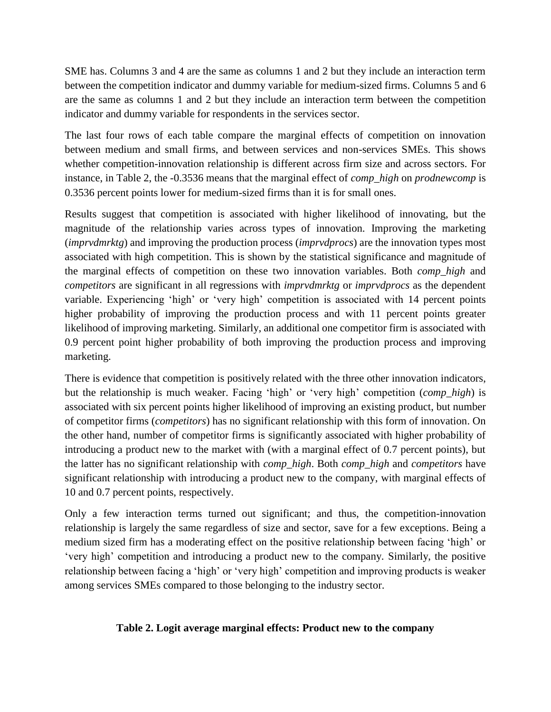SME has. Columns 3 and 4 are the same as columns 1 and 2 but they include an interaction term between the competition indicator and dummy variable for medium-sized firms. Columns 5 and 6 are the same as columns 1 and 2 but they include an interaction term between the competition indicator and dummy variable for respondents in the services sector.

The last four rows of each table compare the marginal effects of competition on innovation between medium and small firms, and between services and non-services SMEs. This shows whether competition-innovation relationship is different across firm size and across sectors. For instance, in Table 2, the -0.3536 means that the marginal effect of *comp\_high* on *prodnewcomp* is 0.3536 percent points lower for medium-sized firms than it is for small ones.

Results suggest that competition is associated with higher likelihood of innovating, but the magnitude of the relationship varies across types of innovation. Improving the marketing (*imprvdmrktg*) and improving the production process (*imprvdprocs*) are the innovation types most associated with high competition. This is shown by the statistical significance and magnitude of the marginal effects of competition on these two innovation variables. Both *comp\_high* and *competitors* are significant in all regressions with *imprvdmrktg* or *imprvdprocs* as the dependent variable. Experiencing 'high' or 'very high' competition is associated with 14 percent points higher probability of improving the production process and with 11 percent points greater likelihood of improving marketing. Similarly, an additional one competitor firm is associated with 0.9 percent point higher probability of both improving the production process and improving marketing.

There is evidence that competition is positively related with the three other innovation indicators, but the relationship is much weaker. Facing 'high' or 'very high' competition (*comp\_high*) is associated with six percent points higher likelihood of improving an existing product, but number of competitor firms (*competitors*) has no significant relationship with this form of innovation. On the other hand, number of competitor firms is significantly associated with higher probability of introducing a product new to the market with (with a marginal effect of 0.7 percent points), but the latter has no significant relationship with *comp\_high*. Both *comp\_high* and *competitors* have significant relationship with introducing a product new to the company, with marginal effects of 10 and 0.7 percent points, respectively.

Only a few interaction terms turned out significant; and thus, the competition-innovation relationship is largely the same regardless of size and sector, save for a few exceptions. Being a medium sized firm has a moderating effect on the positive relationship between facing 'high' or 'very high' competition and introducing a product new to the company. Similarly, the positive relationship between facing a 'high' or 'very high' competition and improving products is weaker among services SMEs compared to those belonging to the industry sector.

## **Table 2. Logit average marginal effects: Product new to the company**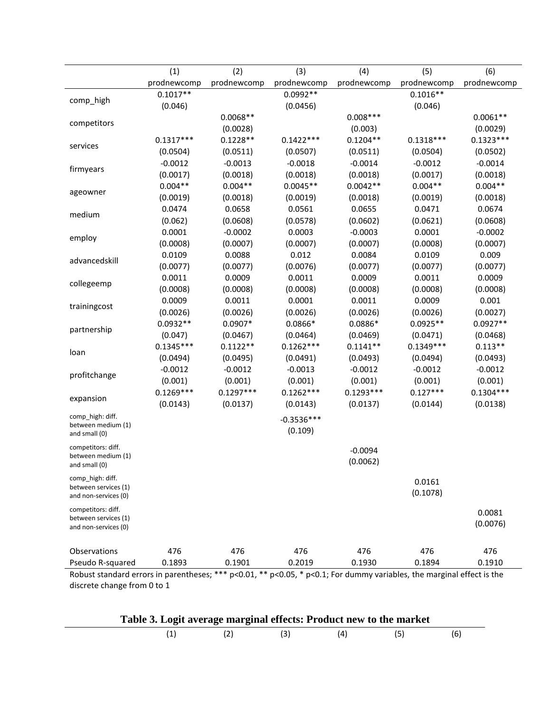|                                          | (1)         | (2)         | (3)          | (4)         | (5)         | (6)         |
|------------------------------------------|-------------|-------------|--------------|-------------|-------------|-------------|
|                                          | prodnewcomp | prodnewcomp | prodnewcomp  | prodnewcomp | prodnewcomp | prodnewcomp |
|                                          | $0.1017**$  |             | $0.0992**$   |             | $0.1016**$  |             |
| comp_high                                | (0.046)     |             | (0.0456)     |             | (0.046)     |             |
|                                          |             | $0.0068**$  |              | $0.008***$  |             | $0.0061**$  |
| competitors                              |             | (0.0028)    |              | (0.003)     |             | (0.0029)    |
|                                          | $0.1317***$ | $0.1228**$  | $0.1422***$  | $0.1204**$  | $0.1318***$ | $0.1323***$ |
| services                                 | (0.0504)    | (0.0511)    | (0.0507)     | (0.0511)    | (0.0504)    | (0.0502)    |
|                                          | $-0.0012$   | $-0.0013$   | $-0.0018$    | $-0.0014$   | $-0.0012$   | $-0.0014$   |
| firmyears                                | (0.0017)    | (0.0018)    | (0.0018)     | (0.0018)    | (0.0017)    | (0.0018)    |
|                                          | $0.004**$   | $0.004**$   | $0.0045**$   | $0.0042**$  | $0.004**$   | $0.004**$   |
| ageowner                                 | (0.0019)    | (0.0018)    | (0.0019)     | (0.0018)    | (0.0019)    | (0.0018)    |
|                                          | 0.0474      | 0.0658      | 0.0561       | 0.0655      | 0.0471      | 0.0674      |
| medium                                   | (0.062)     | (0.0608)    | (0.0578)     | (0.0602)    | (0.0621)    | (0.0608)    |
|                                          | 0.0001      | $-0.0002$   | 0.0003       | $-0.0003$   | 0.0001      | $-0.0002$   |
| employ                                   | (0.0008)    | (0.0007)    | (0.0007)     | (0.0007)    | (0.0008)    | (0.0007)    |
|                                          | 0.0109      | 0.0088      | 0.012        | 0.0084      | 0.0109      | 0.009       |
| advancedskill                            | (0.0077)    | (0.0077)    | (0.0076)     | (0.0077)    | (0.0077)    | (0.0077)    |
|                                          | 0.0011      | 0.0009      | 0.0011       | 0.0009      | 0.0011      | 0.0009      |
| collegeemp                               | (0.0008)    | (0.0008)    | (0.0008)     | (0.0008)    | (0.0008)    | (0.0008)    |
|                                          | 0.0009      | 0.0011      | 0.0001       | 0.0011      | 0.0009      | 0.001       |
| trainingcost                             | (0.0026)    | (0.0026)    | (0.0026)     | (0.0026)    | (0.0026)    | (0.0027)    |
|                                          | $0.0932**$  | $0.0907*$   | $0.0866*$    | $0.0886*$   | $0.0925**$  | $0.0927**$  |
| partnership                              | (0.047)     | (0.0467)    | (0.0464)     | (0.0469)    | (0.0471)    | (0.0468)    |
|                                          | $0.1345***$ | $0.1122**$  | $0.1262***$  | $0.1141**$  | $0.1349***$ | $0.113**$   |
| loan                                     | (0.0494)    | (0.0495)    | (0.0491)     | (0.0493)    | (0.0494)    | (0.0493)    |
|                                          | $-0.0012$   | $-0.0012$   | $-0.0013$    | $-0.0012$   | $-0.0012$   | $-0.0012$   |
| profitchange                             | (0.001)     | (0.001)     | (0.001)      | (0.001)     | (0.001)     | (0.001)     |
|                                          | $0.1269***$ | $0.1297***$ | $0.1262***$  | $0.1293***$ | $0.127***$  | $0.1304***$ |
| expansion                                | (0.0143)    | (0.0137)    | (0.0143)     | (0.0137)    | (0.0144)    | (0.0138)    |
| comp_high: diff.                         |             |             | $-0.3536***$ |             |             |             |
| between medium (1)                       |             |             | (0.109)      |             |             |             |
| and small (0)                            |             |             |              |             |             |             |
| competitors: diff.<br>between medium (1) |             |             |              | $-0.0094$   |             |             |
| and small (0)                            |             |             |              | (0.0062)    |             |             |
| comp_high: diff.                         |             |             |              |             |             |             |
| between services (1)                     |             |             |              |             | 0.0161      |             |
| and non-services (0)                     |             |             |              |             | (0.1078)    |             |
| competitors: diff.                       |             |             |              |             |             | 0.0081      |
| between services (1)                     |             |             |              |             |             | (0.0076)    |
| and non-services (0)                     |             |             |              |             |             |             |
|                                          |             |             |              |             |             |             |
| Observations                             | 476         | 476         | 476          | 476         | 476         | 476         |
| Pseudo R-squared                         | 0.1893      | 0.1901      | 0.2019       | 0.1930      | 0.1894      | 0.1910      |

Robust standard errors in parentheses; \*\*\* p<0.01, \*\* p<0.05, \* p<0.1; For dummy variables, the marginal effect is the discrete change from 0 to 1

| Table 3. Logit average marginal effects: Product new to the market |     |  |     |
|--------------------------------------------------------------------|-----|--|-----|
|                                                                    | (3) |  | (6) |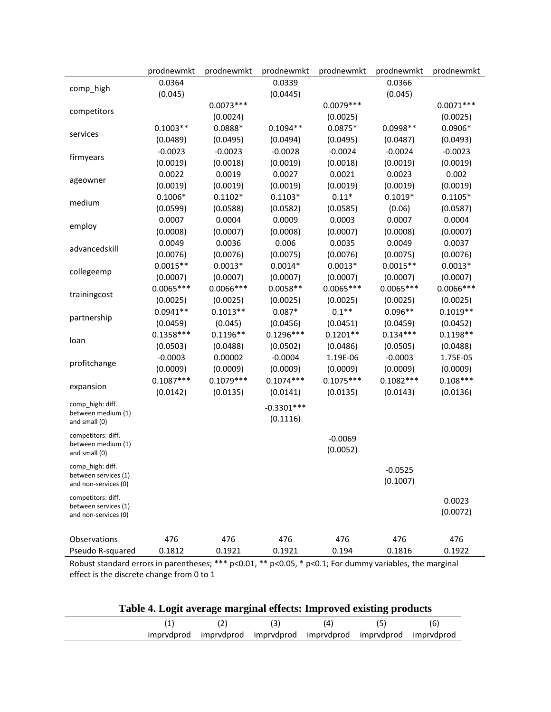|                                     | prodnewmkt  | prodnewmkt  | prodnewmkt   | prodnewmkt  | prodnewmkt  | prodnewmkt  |
|-------------------------------------|-------------|-------------|--------------|-------------|-------------|-------------|
|                                     | 0.0364      |             | 0.0339       |             | 0.0366      |             |
| comp_high                           | (0.045)     |             | (0.0445)     |             | (0.045)     |             |
| competitors                         |             | $0.0073***$ |              | $0.0079***$ |             | $0.0071***$ |
|                                     |             | (0.0024)    |              | (0.0025)    |             | (0.0025)    |
| services                            | $0.1003**$  | 0.0888*     | $0.1094**$   | $0.0875*$   | $0.0998**$  | $0.0906*$   |
|                                     | (0.0489)    | (0.0495)    | (0.0494)     | (0.0495)    | (0.0487)    | (0.0493)    |
|                                     | $-0.0023$   | $-0.0023$   | $-0.0028$    | $-0.0024$   | $-0.0024$   | $-0.0023$   |
| firmyears                           | (0.0019)    | (0.0018)    | (0.0019)     | (0.0018)    | (0.0019)    | (0.0019)    |
|                                     | 0.0022      | 0.0019      | 0.0027       | 0.0021      | 0.0023      | 0.002       |
| ageowner                            | (0.0019)    | (0.0019)    | (0.0019)     | (0.0019)    | (0.0019)    | (0.0019)    |
|                                     | $0.1006*$   | $0.1102*$   | $0.1103*$    | $0.11*$     | $0.1019*$   | $0.1105*$   |
| medium                              | (0.0599)    | (0.0588)    | (0.0582)     | (0.0585)    | (0.06)      | (0.0587)    |
|                                     | 0.0007      | 0.0004      | 0.0009       | 0.0003      | 0.0007      | 0.0004      |
| employ                              | (0.0008)    | (0.0007)    | (0.0008)     | (0.0007)    | (0.0008)    | (0.0007)    |
| advancedskill                       | 0.0049      | 0.0036      | 0.006        | 0.0035      | 0.0049      | 0.0037      |
|                                     | (0.0076)    | (0.0076)    | (0.0075)     | (0.0076)    | (0.0075)    | (0.0076)    |
|                                     | $0.0015**$  | $0.0013*$   | $0.0014*$    | $0.0013*$   | $0.0015**$  | $0.0013*$   |
| collegeemp                          | (0.0007)    | (0.0007)    | (0.0007)     | (0.0007)    | (0.0007)    | (0.0007)    |
|                                     | $0.0065***$ | $0.0066***$ | $0.0058**$   | $0.0065***$ | $0.0065***$ | $0.0066***$ |
| trainingcost                        | (0.0025)    | (0.0025)    | (0.0025)     | (0.0025)    | (0.0025)    | (0.0025)    |
|                                     | $0.0941**$  | $0.1013**$  | $0.087*$     | $0.1**$     | $0.096**$   | $0.1019**$  |
| partnership                         | (0.0459)    | (0.045)     | (0.0456)     | (0.0451)    | (0.0459)    | (0.0452)    |
|                                     | $0.1358***$ | $0.1196**$  | $0.1296***$  | $0.1201**$  | $0.134***$  | $0.1198**$  |
| loan                                | (0.0503)    | (0.0488)    | (0.0502)     | (0.0486)    | (0.0505)    | (0.0488)    |
|                                     | $-0.0003$   | 0.00002     | $-0.0004$    | 1.19E-06    | $-0.0003$   | 1.75E-05    |
| profitchange                        | (0.0009)    | (0.0009)    | (0.0009)     | (0.0009)    | (0.0009)    | (0.0009)    |
|                                     | $0.1087***$ | $0.1079***$ | $0.1074***$  | $0.1075***$ | $0.1082***$ | $0.108***$  |
| expansion                           | (0.0142)    | (0.0135)    | (0.0141)     | (0.0135)    | (0.0143)    | (0.0136)    |
| comp_high: diff.                    |             |             | $-0.3301***$ |             |             |             |
| between medium (1)                  |             |             | (0.1116)     |             |             |             |
| and small (0)                       |             |             |              |             |             |             |
| competitors: diff.                  |             |             |              | $-0.0069$   |             |             |
| between medium (1)<br>and small (0) |             |             |              | (0.0052)    |             |             |
| comp_high: diff.                    |             |             |              |             |             |             |
| between services (1)                |             |             |              |             | $-0.0525$   |             |
| and non-services (0)                |             |             |              |             | (0.1007)    |             |
| competitors: diff.                  |             |             |              |             |             | 0.0023      |
| between services (1)                |             |             |              |             |             | (0.0072)    |
| and non-services (0)                |             |             |              |             |             |             |
|                                     |             |             |              |             |             |             |
| Observations                        | 476         | 476         | 476          | 476         | 476         | 476         |
| Pseudo R-squared                    | 0.1812      | 0.1921      | 0.1921       | 0.194       | 0.1816      | 0.1922      |

Robust standard errors in parentheses; \*\*\* p<0.01, \*\* p<0.05, \* p<0.1; For dummy variables, the marginal effect is the discrete change from 0 to 1

| Table 4. Logit average marginal effects: Improved existing products |     |                                                                   |     |     |     |  |
|---------------------------------------------------------------------|-----|-------------------------------------------------------------------|-----|-----|-----|--|
|                                                                     | (2) | (3)                                                               | (4) | (5) | (6) |  |
|                                                                     |     | imprydprod imprydprod imprydprod imprydprod imprydprod imprydprod |     |     |     |  |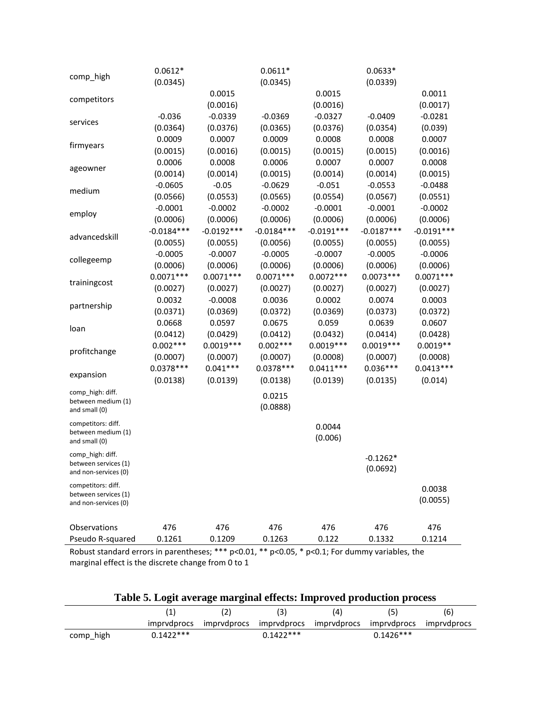| $0.0612*$    |              | $0.0611*$    |                           | $0.0633*$      |                               |
|--------------|--------------|--------------|---------------------------|----------------|-------------------------------|
| (0.0345)     |              | (0.0345)     |                           | (0.0339)       |                               |
|              | 0.0015       |              | 0.0015                    |                | 0.0011                        |
|              | (0.0016)     |              | (0.0016)                  |                | (0.0017)                      |
| $-0.036$     | $-0.0339$    | $-0.0369$    | $-0.0327$                 | $-0.0409$      | $-0.0281$                     |
| (0.0364)     | (0.0376)     | (0.0365)     | (0.0376)                  | (0.0354)       | (0.039)                       |
| 0.0009       | 0.0007       | 0.0009       | 0.0008                    | 0.0008         | 0.0007                        |
| (0.0015)     | (0.0016)     | (0.0015)     | (0.0015)                  | (0.0015)       | (0.0016)                      |
| 0.0006       | 0.0008       | 0.0006       | 0.0007                    | 0.0007         | 0.0008                        |
| (0.0014)     | (0.0014)     | (0.0015)     | (0.0014)                  | (0.0014)       | (0.0015)                      |
| $-0.0605$    | $-0.05$      | $-0.0629$    | $-0.051$                  | $-0.0553$      | $-0.0488$                     |
| (0.0566)     | (0.0553)     | (0.0565)     | (0.0554)                  | (0.0567)       | (0.0551)                      |
| $-0.0001$    | $-0.0002$    | $-0.0002$    | $-0.0001$                 | $-0.0001$      | $-0.0002$                     |
| (0.0006)     | (0.0006)     | (0.0006)     | (0.0006)                  | (0.0006)       | (0.0006)                      |
| $-0.0184***$ | $-0.0192***$ | $-0.0184***$ | $-0.0191***$              | $-0.0187***$   | $-0.0191***$                  |
| (0.0055)     | (0.0055)     | (0.0056)     | (0.0055)                  | (0.0055)       | (0.0055)                      |
| $-0.0005$    | $-0.0007$    | $-0.0005$    | $-0.0007$                 | $-0.0005$      | $-0.0006$                     |
| (0.0006)     | (0.0006)     | (0.0006)     | (0.0006)                  | (0.0006)       | (0.0006)                      |
| $0.0071***$  | $0.0071***$  | $0.0071***$  | $0.0072***$               | $0.0073***$    | $0.0071***$                   |
| (0.0027)     | (0.0027)     | (0.0027)     | (0.0027)                  | (0.0027)       | (0.0027)                      |
| 0.0032       | $-0.0008$    | 0.0036       | 0.0002                    | 0.0074         | 0.0003                        |
| (0.0371)     | (0.0369)     | (0.0372)     | (0.0369)                  | (0.0373)       | (0.0372)                      |
| 0.0668       | 0.0597       | 0.0675       | 0.059                     | 0.0639         | 0.0607                        |
| (0.0412)     | (0.0429)     | (0.0412)     | (0.0432)                  | (0.0414)       | (0.0428)                      |
| $0.002***$   | $0.0019***$  | $0.002***$   | $0.0019***$               | $0.0019***$    | $0.0019**$                    |
| (0.0007)     | (0.0007)     | (0.0007)     | (0.0008)                  | (0.0007)       | (0.0008)                      |
| $0.0378***$  | $0.041***$   | $0.0378***$  | $0.0411***$               | $0.036***$     | $0.0413***$                   |
| (0.0138)     | (0.0139)     | (0.0138)     | (0.0139)                  | (0.0135)       | (0.014)                       |
|              |              |              |                           |                |                               |
|              |              |              |                           |                |                               |
|              |              |              |                           |                |                               |
|              |              |              | 0.0044                    |                |                               |
|              |              |              |                           |                |                               |
|              |              |              |                           |                |                               |
|              |              |              |                           |                |                               |
|              |              |              |                           |                |                               |
|              |              |              |                           |                | 0.0038                        |
|              |              |              |                           |                | (0.0055)                      |
|              |              |              |                           |                |                               |
|              |              |              |                           |                | 476                           |
| 0.1261       | 0.1209       | 0.1263       | 0.122                     | 0.1332         | 0.1214                        |
|              | 476          | 476          | 0.0215<br>(0.0888)<br>476 | (0.006)<br>476 | $-0.1262*$<br>(0.0692)<br>476 |

Robust standard errors in parentheses; \*\*\*  $p<0.01$ , \*\*  $p<0.05$ , \*  $p<0.1$ ; For dummy variables, the marginal effect is the discrete change from 0 to 1

| Table 5. Logit average marginal effects: Improved production process |  |  |
|----------------------------------------------------------------------|--|--|
|                                                                      |  |  |

|           |                    |             | (4) | (5'                                             | (6)         |
|-----------|--------------------|-------------|-----|-------------------------------------------------|-------------|
|           | <i>imprydprocs</i> |             |     | imprydprocs imprydprocs imprydprocs imprydprocs | imprydprocs |
| comp high | $0.1422***$        | $0.1422***$ |     | $0.1426***$                                     |             |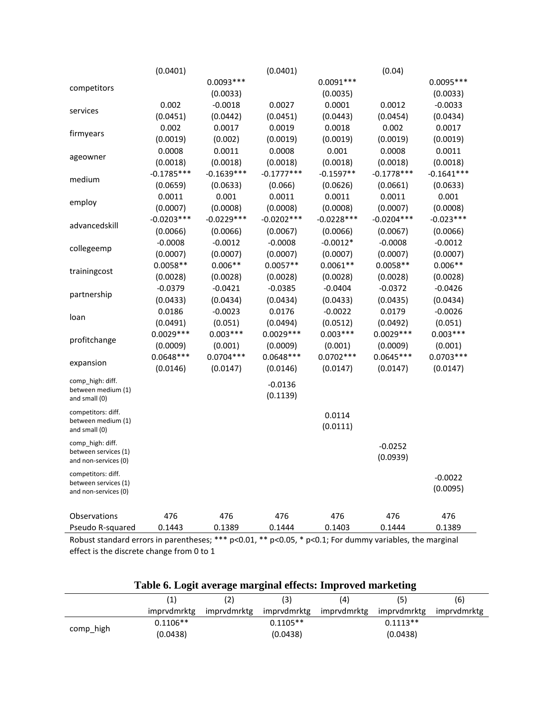|                                          | (0.0401)     |              | (0.0401)     |              | (0.04)       |              |
|------------------------------------------|--------------|--------------|--------------|--------------|--------------|--------------|
|                                          |              | $0.0093***$  |              | $0.0091***$  |              | $0.0095***$  |
| competitors                              |              | (0.0033)     |              | (0.0035)     |              | (0.0033)     |
|                                          | 0.002        | $-0.0018$    | 0.0027       | 0.0001       | 0.0012       | $-0.0033$    |
| services                                 | (0.0451)     | (0.0442)     | (0.0451)     | (0.0443)     | (0.0454)     | (0.0434)     |
|                                          | 0.002        | 0.0017       | 0.0019       | 0.0018       | 0.002        | 0.0017       |
| firmyears                                | (0.0019)     | (0.002)      | (0.0019)     | (0.0019)     | (0.0019)     | (0.0019)     |
|                                          | 0.0008       | 0.0011       | 0.0008       | 0.001        | 0.0008       | 0.0011       |
| ageowner                                 | (0.0018)     | (0.0018)     | (0.0018)     | (0.0018)     | (0.0018)     | (0.0018)     |
|                                          | $-0.1785***$ | $-0.1639***$ | $-0.1777***$ | $-0.1597**$  | $-0.1778***$ | $-0.1641***$ |
| medium                                   | (0.0659)     | (0.0633)     | (0.066)      | (0.0626)     | (0.0661)     | (0.0633)     |
|                                          | 0.0011       | 0.001        | 0.0011       | 0.0011       | 0.0011       | 0.001        |
| employ                                   | (0.0007)     | (0.0008)     | (0.0008)     | (0.0008)     | (0.0007)     | (0.0008)     |
|                                          | $-0.0203***$ | $-0.0229***$ | $-0.0202***$ | $-0.0228***$ | $-0.0204***$ | $-0.023***$  |
| advancedskill                            | (0.0066)     | (0.0066)     | (0.0067)     | (0.0066)     | (0.0067)     | (0.0066)     |
|                                          | $-0.0008$    | $-0.0012$    | $-0.0008$    | $-0.0012*$   | $-0.0008$    | $-0.0012$    |
| collegeemp                               | (0.0007)     | (0.0007)     | (0.0007)     | (0.0007)     | (0.0007)     | (0.0007)     |
|                                          | $0.0058**$   | $0.006**$    | $0.0057**$   | $0.0061**$   | $0.0058**$   | $0.006**$    |
| trainingcost                             | (0.0028)     | (0.0028)     | (0.0028)     | (0.0028)     | (0.0028)     | (0.0028)     |
|                                          | $-0.0379$    | $-0.0421$    | $-0.0385$    | $-0.0404$    | $-0.0372$    | $-0.0426$    |
| partnership                              | (0.0433)     | (0.0434)     | (0.0434)     | (0.0433)     | (0.0435)     | (0.0434)     |
|                                          | 0.0186       | $-0.0023$    | 0.0176       | $-0.0022$    | 0.0179       | $-0.0026$    |
| loan                                     | (0.0491)     | (0.051)      | (0.0494)     | (0.0512)     | (0.0492)     | (0.051)      |
|                                          | $0.0029***$  | $0.003***$   | $0.0029***$  | $0.003***$   | $0.0029***$  | $0.003***$   |
| profitchange                             | (0.0009)     | (0.001)      | (0.0009)     | (0.001)      | (0.0009)     | (0.001)      |
|                                          | $0.0648***$  | $0.0704***$  | $0.0648***$  | $0.0702***$  | $0.0645***$  | $0.0703***$  |
| expansion                                | (0.0146)     | (0.0147)     | (0.0146)     | (0.0147)     | (0.0147)     | (0.0147)     |
| comp_high: diff.                         |              |              |              |              |              |              |
| between medium (1)                       |              |              | $-0.0136$    |              |              |              |
| and small (0)                            |              |              | (0.1139)     |              |              |              |
| competitors: diff.                       |              |              |              | 0.0114       |              |              |
| between medium (1)<br>and small (0)      |              |              |              | (0.0111)     |              |              |
|                                          |              |              |              |              |              |              |
| comp high: diff.<br>between services (1) |              |              |              |              | $-0.0252$    |              |
| and non-services (0)                     |              |              |              |              | (0.0939)     |              |
| competitors: diff.                       |              |              |              |              |              |              |
| between services (1)                     |              |              |              |              |              | $-0.0022$    |
| and non-services (0)                     |              |              |              |              |              | (0.0095)     |
|                                          |              |              |              |              |              |              |
| Observations                             | 476          | 476          | 476          | 476          | 476          | 476          |
| Pseudo R-squared                         | 0.1443       | 0.1389       | 0.1444       | 0.1403       | 0.1444       | 0.1389       |

Robust standard errors in parentheses; \*\*\* p<0.01, \*\* p<0.05, \* p<0.1; For dummy variables, the marginal effect is the discrete change from 0 to 1

|  |  |  | Table 6. Logit average marginal effects: Improved marketing |
|--|--|--|-------------------------------------------------------------|
|  |  |  |                                                             |

|           | $\left( 1\right)$ |             | (3)        | (4)                     | (5)         | (6)         |
|-----------|-------------------|-------------|------------|-------------------------|-------------|-------------|
|           | imprydmrktg       | imprvdmrktg |            | imprvdmrktg imprvdmrktg | imprvdmrktg | imprydmrktg |
| comp_high | $0.1106**$        |             | $0.1105**$ |                         | $0.1113**$  |             |
|           | (0.0438)          |             | (0.0438)   |                         | (0.0438)    |             |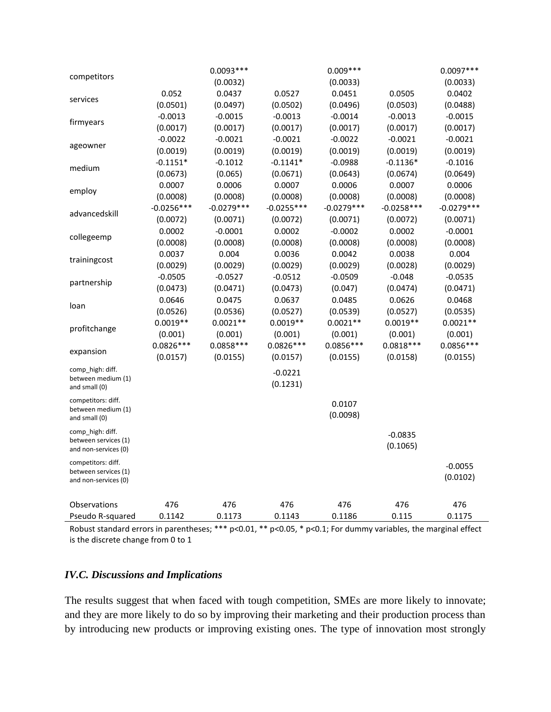|                                              |              | $0.0093***$  |              | $0.009***$   |              | $0.0097***$  |
|----------------------------------------------|--------------|--------------|--------------|--------------|--------------|--------------|
| competitors                                  |              | (0.0032)     |              | (0.0033)     |              | (0.0033)     |
|                                              | 0.052        | 0.0437       | 0.0527       | 0.0451       | 0.0505       | 0.0402       |
| services                                     | (0.0501)     | (0.0497)     | (0.0502)     | (0.0496)     | (0.0503)     | (0.0488)     |
| firmyears                                    | $-0.0013$    | $-0.0015$    | $-0.0013$    | $-0.0014$    | $-0.0013$    | $-0.0015$    |
|                                              | (0.0017)     | (0.0017)     | (0.0017)     | (0.0017)     | (0.0017)     | (0.0017)     |
|                                              | $-0.0022$    | $-0.0021$    | $-0.0021$    | $-0.0022$    | $-0.0021$    | $-0.0021$    |
| ageowner                                     | (0.0019)     | (0.0019)     | (0.0019)     | (0.0019)     | (0.0019)     | (0.0019)     |
| medium                                       | $-0.1151*$   | $-0.1012$    | $-0.1141*$   | $-0.0988$    | $-0.1136*$   | $-0.1016$    |
|                                              | (0.0673)     | (0.065)      | (0.0671)     | (0.0643)     | (0.0674)     | (0.0649)     |
| employ                                       | 0.0007       | 0.0006       | 0.0007       | 0.0006       | 0.0007       | 0.0006       |
|                                              | (0.0008)     | (0.0008)     | (0.0008)     | (0.0008)     | (0.0008)     | (0.0008)     |
| advancedskill                                | $-0.0256***$ | $-0.0279***$ | $-0.0255***$ | $-0.0279***$ | $-0.0258***$ | $-0.0279***$ |
|                                              | (0.0072)     | (0.0071)     | (0.0072)     | (0.0071)     | (0.0072)     | (0.0071)     |
| collegeemp                                   | 0.0002       | $-0.0001$    | 0.0002       | $-0.0002$    | 0.0002       | $-0.0001$    |
|                                              | (0.0008)     | (0.0008)     | (0.0008)     | (0.0008)     | (0.0008)     | (0.0008)     |
| trainingcost                                 | 0.0037       | 0.004        | 0.0036       | 0.0042       | 0.0038       | 0.004        |
|                                              | (0.0029)     | (0.0029)     | (0.0029)     | (0.0029)     | (0.0028)     | (0.0029)     |
| partnership                                  | $-0.0505$    | $-0.0527$    | $-0.0512$    | $-0.0509$    | $-0.048$     | $-0.0535$    |
|                                              | (0.0473)     | (0.0471)     | (0.0473)     | (0.047)      | (0.0474)     | (0.0471)     |
| loan                                         | 0.0646       | 0.0475       | 0.0637       | 0.0485       | 0.0626       | 0.0468       |
|                                              | (0.0526)     | (0.0536)     | (0.0527)     | (0.0539)     | (0.0527)     | (0.0535)     |
| profitchange                                 | $0.0019**$   | $0.0021**$   | $0.0019**$   | $0.0021**$   | $0.0019**$   | $0.0021**$   |
|                                              | (0.001)      | (0.001)      | (0.001)      | (0.001)      | (0.001)      | (0.001)      |
| expansion                                    | $0.0826***$  | $0.0858***$  | $0.0826***$  | $0.0856***$  | $0.0818***$  | $0.0856***$  |
|                                              | (0.0157)     | (0.0155)     | (0.0157)     | (0.0155)     | (0.0158)     | (0.0155)     |
| comp_high: diff.                             |              |              | $-0.0221$    |              |              |              |
| between medium (1)<br>and small (0)          |              |              | (0.1231)     |              |              |              |
| competitors: diff.                           |              |              |              |              |              |              |
| between medium (1)                           |              |              |              | 0.0107       |              |              |
| and small (0)                                |              |              |              | (0.0098)     |              |              |
| comp_high: diff.                             |              |              |              |              | $-0.0835$    |              |
| between services (1)                         |              |              |              |              | (0.1065)     |              |
| and non-services (0)                         |              |              |              |              |              |              |
| competitors: diff.                           |              |              |              |              |              | $-0.0055$    |
| between services (1)<br>and non-services (0) |              |              |              |              |              | (0.0102)     |
|                                              |              |              |              |              |              |              |
| Observations                                 | 476          | 476          | 476          | 476          | 476          | 476          |
| Pseudo R-squared                             | 0.1142       | 0.1173       | 0.1143       | 0.1186       | 0.115        | 0.1175       |

Robust standard errors in parentheses; \*\*\* p<0.01, \*\* p<0.05, \* p<0.1; For dummy variables, the marginal effect is the discrete change from 0 to 1

# *IV.C. Discussions and Implications*

The results suggest that when faced with tough competition, SMEs are more likely to innovate; and they are more likely to do so by improving their marketing and their production process than by introducing new products or improving existing ones. The type of innovation most strongly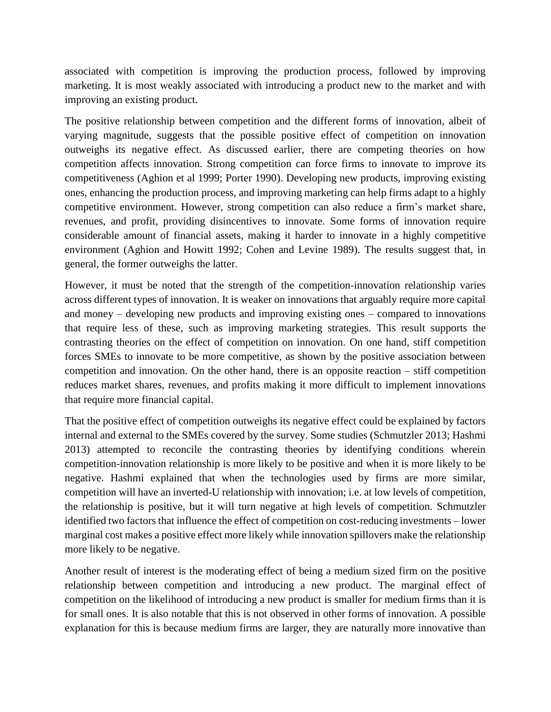associated with competition is improving the production process, followed by improving marketing. It is most weakly associated with introducing a product new to the market and with improving an existing product.

The positive relationship between competition and the different forms of innovation, albeit of varying magnitude, suggests that the possible positive effect of competition on innovation outweighs its negative effect. As discussed earlier, there are competing theories on how competition affects innovation. Strong competition can force firms to innovate to improve its competitiveness (Aghion et al 1999; Porter 1990). Developing new products, improving existing ones, enhancing the production process, and improving marketing can help firms adapt to a highly competitive environment. However, strong competition can also reduce a firm's market share, revenues, and profit, providing disincentives to innovate. Some forms of innovation require considerable amount of financial assets, making it harder to innovate in a highly competitive environment (Aghion and Howitt 1992; Cohen and Levine 1989). The results suggest that, in general, the former outweighs the latter.

However, it must be noted that the strength of the competition-innovation relationship varies across different types of innovation. It is weaker on innovations that arguably require more capital and money – developing new products and improving existing ones – compared to innovations that require less of these, such as improving marketing strategies. This result supports the contrasting theories on the effect of competition on innovation. On one hand, stiff competition forces SMEs to innovate to be more competitive, as shown by the positive association between competition and innovation. On the other hand, there is an opposite reaction – stiff competition reduces market shares, revenues, and profits making it more difficult to implement innovations that require more financial capital.

That the positive effect of competition outweighs its negative effect could be explained by factors internal and external to the SMEs covered by the survey. Some studies (Schmutzler 2013; Hashmi 2013) attempted to reconcile the contrasting theories by identifying conditions wherein competition-innovation relationship is more likely to be positive and when it is more likely to be negative. Hashmi explained that when the technologies used by firms are more similar, competition will have an inverted-U relationship with innovation; i.e. at low levels of competition, the relationship is positive, but it will turn negative at high levels of competition. Schmutzler identified two factors that influence the effect of competition on cost-reducing investments – lower marginal cost makes a positive effect more likely while innovation spillovers make the relationship more likely to be negative.

Another result of interest is the moderating effect of being a medium sized firm on the positive relationship between competition and introducing a new product. The marginal effect of competition on the likelihood of introducing a new product is smaller for medium firms than it is for small ones. It is also notable that this is not observed in other forms of innovation. A possible explanation for this is because medium firms are larger, they are naturally more innovative than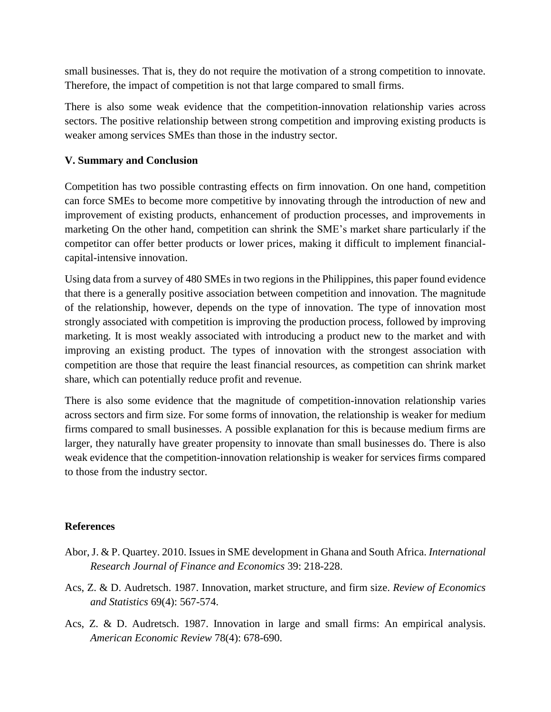small businesses. That is, they do not require the motivation of a strong competition to innovate. Therefore, the impact of competition is not that large compared to small firms.

There is also some weak evidence that the competition-innovation relationship varies across sectors. The positive relationship between strong competition and improving existing products is weaker among services SMEs than those in the industry sector.

#### **V. Summary and Conclusion**

Competition has two possible contrasting effects on firm innovation. On one hand, competition can force SMEs to become more competitive by innovating through the introduction of new and improvement of existing products, enhancement of production processes, and improvements in marketing On the other hand, competition can shrink the SME's market share particularly if the competitor can offer better products or lower prices, making it difficult to implement financialcapital-intensive innovation.

Using data from a survey of 480 SMEs in two regions in the Philippines, this paper found evidence that there is a generally positive association between competition and innovation. The magnitude of the relationship, however, depends on the type of innovation. The type of innovation most strongly associated with competition is improving the production process, followed by improving marketing. It is most weakly associated with introducing a product new to the market and with improving an existing product. The types of innovation with the strongest association with competition are those that require the least financial resources, as competition can shrink market share, which can potentially reduce profit and revenue.

There is also some evidence that the magnitude of competition-innovation relationship varies across sectors and firm size. For some forms of innovation, the relationship is weaker for medium firms compared to small businesses. A possible explanation for this is because medium firms are larger, they naturally have greater propensity to innovate than small businesses do. There is also weak evidence that the competition-innovation relationship is weaker for services firms compared to those from the industry sector.

## **References**

- Abor, J. & P. Quartey. 2010. Issues in SME development in Ghana and South Africa. *International Research Journal of Finance and Economics* 39: 218-228.
- Acs, Z. & D. Audretsch. 1987. Innovation, market structure, and firm size. *Review of Economics and Statistics* 69(4): 567-574.
- Acs, Z. & D. Audretsch. 1987. Innovation in large and small firms: An empirical analysis. *American Economic Review* 78(4): 678-690.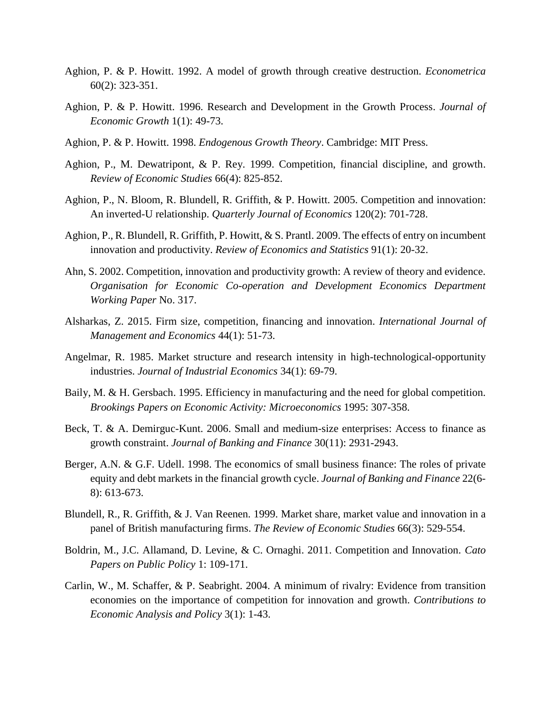- Aghion, P. & P. Howitt. 1992. A model of growth through creative destruction. *Econometrica* 60(2): 323-351.
- Aghion, P. & P. Howitt. 1996. Research and Development in the Growth Process. *Journal of Economic Growth* 1(1): 49-73.
- Aghion, P. & P. Howitt. 1998. *Endogenous Growth Theory*. Cambridge: MIT Press.
- Aghion, P., M. Dewatripont, & P. Rey. 1999. Competition, financial discipline, and growth. *Review of Economic Studies* 66(4): 825-852.
- Aghion, P., N. Bloom, R. Blundell, R. Griffith, & P. Howitt. 2005. Competition and innovation: An inverted-U relationship. *Quarterly Journal of Economics* 120(2): 701-728.
- Aghion, P., R. Blundell, R. Griffith, P. Howitt, & S. Prantl. 2009. The effects of entry on incumbent innovation and productivity. *Review of Economics and Statistics* 91(1): 20-32.
- Ahn, S. 2002. Competition, innovation and productivity growth: A review of theory and evidence. *Organisation for Economic Co-operation and Development Economics Department Working Paper* No. 317.
- Alsharkas, Z. 2015. Firm size, competition, financing and innovation. *International Journal of Management and Economics* 44(1): 51-73.
- Angelmar, R. 1985. Market structure and research intensity in high-technological-opportunity industries. *Journal of Industrial Economics* 34(1): 69-79.
- Baily, M. & H. Gersbach. 1995. Efficiency in manufacturing and the need for global competition. *Brookings Papers on Economic Activity: Microeconomics* 1995: 307-358.
- Beck, T. & A. Demirguc-Kunt. 2006. Small and medium-size enterprises: Access to finance as growth constraint. *Journal of Banking and Finance* 30(11): 2931-2943.
- Berger, A.N. & G.F. Udell. 1998. The economics of small business finance: The roles of private equity and debt markets in the financial growth cycle. *Journal of Banking and Finance* 22(6- 8): 613-673.
- Blundell, R., R. Griffith, & J. Van Reenen. 1999. Market share, market value and innovation in a panel of British manufacturing firms. *The Review of Economic Studies* 66(3): 529-554.
- Boldrin, M., J.C. Allamand, D. Levine, & C. Ornaghi. 2011. Competition and Innovation. *Cato Papers on Public Policy* 1: 109-171.
- Carlin, W., M. Schaffer, & P. Seabright. 2004. A minimum of rivalry: Evidence from transition economies on the importance of competition for innovation and growth. *Contributions to Economic Analysis and Policy* 3(1): 1-43.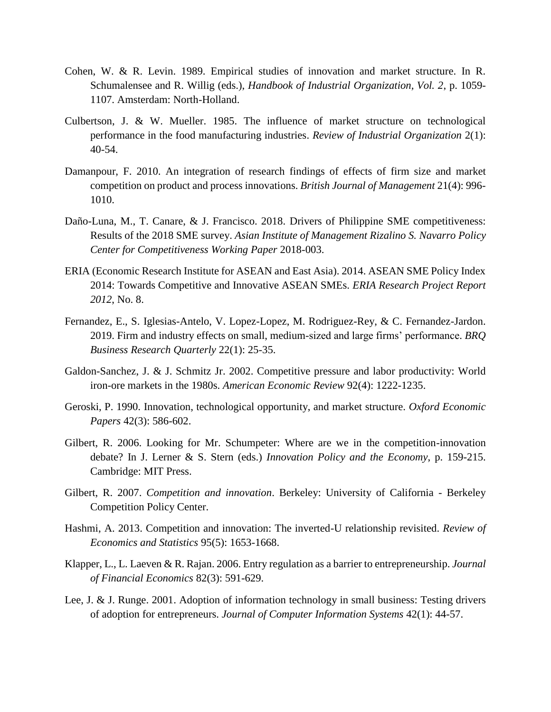- Cohen, W. & R. Levin. 1989. Empirical studies of innovation and market structure. In R. Schumalensee and R. Willig (eds.), *Handbook of Industrial Organization, Vol. 2*, p. 1059- 1107. Amsterdam: North-Holland.
- Culbertson, J. & W. Mueller. 1985. The influence of market structure on technological performance in the food manufacturing industries. *Review of Industrial Organization* 2(1): 40-54.
- Damanpour, F. 2010. An integration of research findings of effects of firm size and market competition on product and process innovations. *British Journal of Management* 21(4): 996- 1010.
- Daño-Luna, M., T. Canare, & J. Francisco. 2018. Drivers of Philippine SME competitiveness: Results of the 2018 SME survey. *Asian Institute of Management Rizalino S. Navarro Policy Center for Competitiveness Working Paper* 2018-003.
- ERIA (Economic Research Institute for ASEAN and East Asia). 2014. ASEAN SME Policy Index 2014: Towards Competitive and Innovative ASEAN SMEs. *ERIA Research Project Report 2012*, No. 8.
- Fernandez, E., S. Iglesias-Antelo, V. Lopez-Lopez, M. Rodriguez-Rey, & C. Fernandez-Jardon. 2019. Firm and industry effects on small, medium-sized and large firms' performance. *BRQ Business Research Quarterly* 22(1): 25-35.
- Galdon-Sanchez, J. & J. Schmitz Jr. 2002. Competitive pressure and labor productivity: World iron-ore markets in the 1980s. *American Economic Review* 92(4): 1222-1235.
- Geroski, P. 1990. Innovation, technological opportunity, and market structure. *Oxford Economic Papers* 42(3): 586-602.
- Gilbert, R. 2006. Looking for Mr. Schumpeter: Where are we in the competition-innovation debate? In J. Lerner & S. Stern (eds.) *Innovation Policy and the Economy*, p. 159-215. Cambridge: MIT Press.
- Gilbert, R. 2007. *Competition and innovation*. Berkeley: University of California Berkeley Competition Policy Center.
- Hashmi, A. 2013. Competition and innovation: The inverted-U relationship revisited. *Review of Economics and Statistics* 95(5): 1653-1668.
- Klapper, L., L. Laeven & R. Rajan. 2006. Entry regulation as a barrier to entrepreneurship. *Journal of Financial Economics* 82(3): 591-629.
- Lee, J. & J. Runge. 2001. Adoption of information technology in small business: Testing drivers of adoption for entrepreneurs. *Journal of Computer Information Systems* 42(1): 44-57.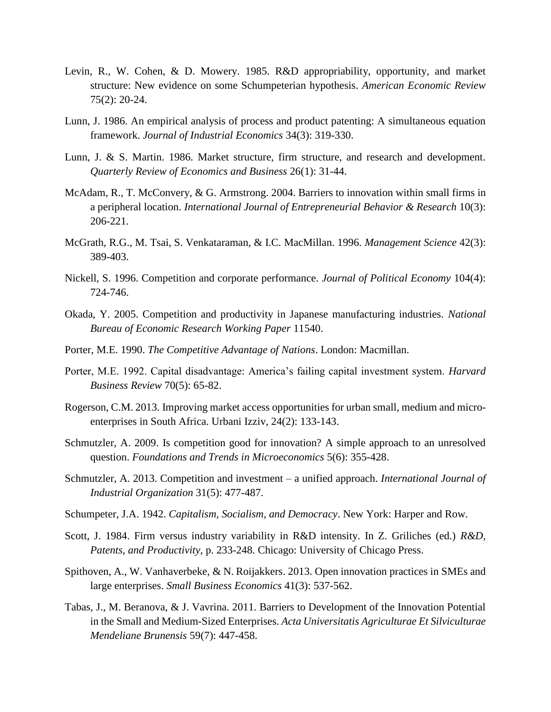- Levin, R., W. Cohen, & D. Mowery. 1985. R&D appropriability, opportunity, and market structure: New evidence on some Schumpeterian hypothesis. *American Economic Review* 75(2): 20-24.
- Lunn, J. 1986. An empirical analysis of process and product patenting: A simultaneous equation framework. *Journal of Industrial Economics* 34(3): 319-330.
- Lunn, J. & S. Martin. 1986. Market structure, firm structure, and research and development. *Quarterly Review of Economics and Business* 26(1): 31-44.
- McAdam, R., T. McConvery, & G. Armstrong. 2004. Barriers to innovation within small firms in a peripheral location. *International Journal of Entrepreneurial Behavior & Research* 10(3): 206-221.
- McGrath, R.G., M. Tsai, S. Venkataraman, & I.C. MacMillan. 1996. *Management Science* 42(3): 389-403.
- Nickell, S. 1996. Competition and corporate performance. *Journal of Political Economy* 104(4): 724-746.
- Okada, Y. 2005. Competition and productivity in Japanese manufacturing industries. *National Bureau of Economic Research Working Paper* 11540.
- Porter, M.E. 1990. *The Competitive Advantage of Nations*. London: Macmillan.
- Porter, M.E. 1992. Capital disadvantage: America's failing capital investment system. *Harvard Business Review* 70(5): 65-82.
- Rogerson, C.M. 2013. Improving market access opportunities for urban small, medium and microenterprises in South Africa. Urbani Izziv, 24(2): 133-143.
- Schmutzler, A. 2009. Is competition good for innovation? A simple approach to an unresolved question. *Foundations and Trends in Microeconomics* 5(6): 355-428.
- Schmutzler, A. 2013. Competition and investment a unified approach. *International Journal of Industrial Organization* 31(5): 477-487.
- Schumpeter, J.A. 1942. *Capitalism, Socialism, and Democracy*. New York: Harper and Row.
- Scott, J. 1984. Firm versus industry variability in R&D intensity. In Z. Griliches (ed.) *R&D, Patents, and Productivity*, p. 233-248. Chicago: University of Chicago Press.
- Spithoven, A., W. Vanhaverbeke, & N. Roijakkers. 2013. Open innovation practices in SMEs and large enterprises. *Small Business Economics* 41(3): 537-562.
- Tabas, J., M. Beranova, & J. Vavrina. 2011. Barriers to Development of the Innovation Potential in the Small and Medium-Sized Enterprises. *Acta Universitatis Agriculturae Et Silviculturae Mendeliane Brunensis* 59(7): 447-458.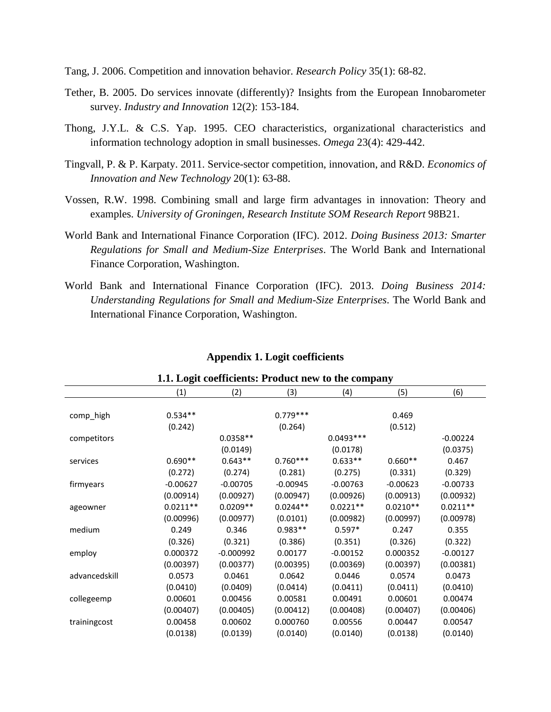- Tang, J. 2006. Competition and innovation behavior. *Research Policy* 35(1): 68-82.
- Tether, B. 2005. Do services innovate (differently)? Insights from the European Innobarometer survey. *Industry and Innovation* 12(2): 153-184.
- Thong, J.Y.L. & C.S. Yap. 1995. CEO characteristics, organizational characteristics and information technology adoption in small businesses. *Omega* 23(4): 429-442.
- Tingvall, P. & P. Karpaty. 2011. Service-sector competition, innovation, and R&D. *Economics of Innovation and New Technology* 20(1): 63-88.
- Vossen, R.W. 1998. Combining small and large firm advantages in innovation: Theory and examples. *University of Groningen, Research Institute SOM Research Report* 98B21.
- World Bank and International Finance Corporation (IFC). 2012. *Doing Business 2013: Smarter Regulations for Small and Medium-Size Enterprises*. The World Bank and International Finance Corporation, Washington.
- World Bank and International Finance Corporation (IFC). 2013. *Doing Business 2014: Understanding Regulations for Small and Medium-Size Enterprises*. The World Bank and International Finance Corporation, Washington.

| 1.1. Logit coefficients: Product new to the company |            |             |            |             |            |            |  |  |  |
|-----------------------------------------------------|------------|-------------|------------|-------------|------------|------------|--|--|--|
|                                                     | (1)        | (2)         | (3)        | (4)         | (5)        | (6)        |  |  |  |
|                                                     |            |             |            |             |            |            |  |  |  |
| comp_high                                           | $0.534**$  |             | $0.779***$ |             | 0.469      |            |  |  |  |
|                                                     | (0.242)    |             | (0.264)    |             | (0.512)    |            |  |  |  |
| competitors                                         |            | $0.0358**$  |            | $0.0493***$ |            | $-0.00224$ |  |  |  |
|                                                     |            | (0.0149)    |            | (0.0178)    |            | (0.0375)   |  |  |  |
| services                                            | $0.690**$  | $0.643**$   | $0.760***$ | $0.633**$   | $0.660**$  | 0.467      |  |  |  |
|                                                     | (0.272)    | (0.274)     | (0.281)    | (0.275)     | (0.331)    | (0.329)    |  |  |  |
| firmyears                                           | $-0.00627$ | $-0.00705$  | $-0.00945$ | $-0.00763$  | $-0.00623$ | $-0.00733$ |  |  |  |
|                                                     | (0.00914)  | (0.00927)   | (0.00947)  | (0.00926)   | (0.00913)  | (0.00932)  |  |  |  |
| ageowner                                            | $0.0211**$ | $0.0209**$  | $0.0244**$ | $0.0221**$  | $0.0210**$ | $0.0211**$ |  |  |  |
|                                                     | (0.00996)  | (0.00977)   | (0.0101)   | (0.00982)   | (0.00997)  | (0.00978)  |  |  |  |
| medium                                              | 0.249      | 0.346       | $0.983**$  | $0.597*$    | 0.247      | 0.355      |  |  |  |
|                                                     | (0.326)    | (0.321)     | (0.386)    | (0.351)     | (0.326)    | (0.322)    |  |  |  |
| employ                                              | 0.000372   | $-0.000992$ | 0.00177    | $-0.00152$  | 0.000352   | $-0.00127$ |  |  |  |
|                                                     | (0.00397)  | (0.00377)   | (0.00395)  | (0.00369)   | (0.00397)  | (0.00381)  |  |  |  |
| advancedskill                                       | 0.0573     | 0.0461      | 0.0642     | 0.0446      | 0.0574     | 0.0473     |  |  |  |
|                                                     | (0.0410)   | (0.0409)    | (0.0414)   | (0.0411)    | (0.0411)   | (0.0410)   |  |  |  |
| collegeemp                                          | 0.00601    | 0.00456     | 0.00581    | 0.00491     | 0.00601    | 0.00474    |  |  |  |
|                                                     | (0.00407)  | (0.00405)   | (0.00412)  | (0.00408)   | (0.00407)  | (0.00406)  |  |  |  |
| trainingcost                                        | 0.00458    | 0.00602     | 0.000760   | 0.00556     | 0.00447    | 0.00547    |  |  |  |
|                                                     | (0.0138)   | (0.0139)    | (0.0140)   | (0.0140)    | (0.0138)   | (0.0140)   |  |  |  |

#### **Appendix 1. Logit coefficients**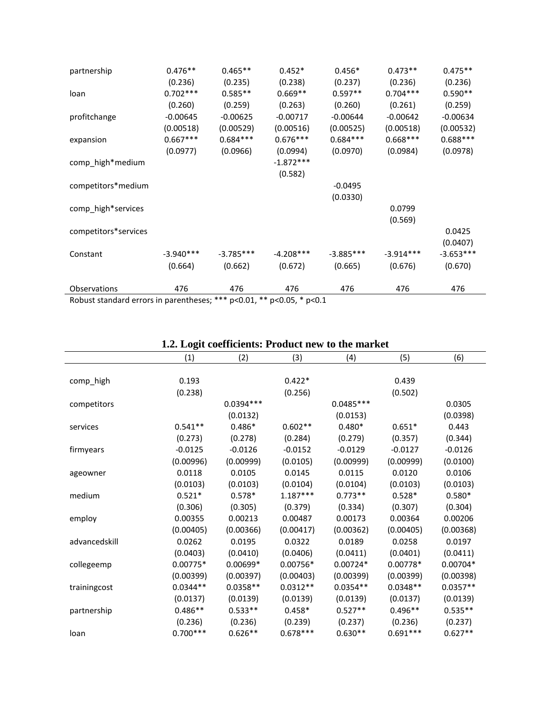| partnership          | $0.476**$   | $0.465**$   | $0.452*$    | $0.456*$    | $0.473**$   | $0.475**$   |
|----------------------|-------------|-------------|-------------|-------------|-------------|-------------|
|                      | (0.236)     | (0.235)     | (0.238)     | (0.237)     | (0.236)     | (0.236)     |
| loan                 | $0.702***$  | $0.585**$   | $0.669**$   | $0.597**$   | $0.704***$  | $0.590**$   |
|                      | (0.260)     | (0.259)     | (0.263)     | (0.260)     | (0.261)     | (0.259)     |
| profitchange         | $-0.00645$  | $-0.00625$  | $-0.00717$  | $-0.00644$  | $-0.00642$  | $-0.00634$  |
|                      | (0.00518)   | (0.00529)   | (0.00516)   | (0.00525)   | (0.00518)   | (0.00532)   |
| expansion            | $0.667***$  | $0.684***$  | $0.676***$  | $0.684***$  | $0.668***$  | $0.688***$  |
|                      | (0.0977)    | (0.0966)    | (0.0994)    | (0.0970)    | (0.0984)    | (0.0978)    |
| comp_high*medium     |             |             | $-1.872***$ |             |             |             |
|                      |             |             | (0.582)     |             |             |             |
| competitors*medium   |             |             |             | $-0.0495$   |             |             |
|                      |             |             |             | (0.0330)    |             |             |
| comp_high*services   |             |             |             |             | 0.0799      |             |
|                      |             |             |             |             | (0.569)     |             |
| competitors*services |             |             |             |             |             | 0.0425      |
|                      |             |             |             |             |             | (0.0407)    |
| Constant             | $-3.940***$ | $-3.785***$ | $-4.208***$ | $-3.885***$ | $-3.914***$ | $-3.653***$ |
|                      | (0.664)     | (0.662)     | (0.672)     | (0.665)     | (0.676)     | (0.670)     |
| Observations         | 476         | 476         | 476         | 476         | 476         | 476         |

# **1.2. Logit coefficients: Product new to the market**

|               | 1.2. Logn coemercius, 11 ouuve new to the market |            |            |            |            |            |  |  |
|---------------|--------------------------------------------------|------------|------------|------------|------------|------------|--|--|
|               | (1)                                              | (2)        | (3)        | (4)        | (5)        | (6)        |  |  |
|               |                                                  |            |            |            |            |            |  |  |
| comp_high     | 0.193                                            |            | $0.422*$   |            | 0.439      |            |  |  |
|               | (0.238)                                          |            | (0.256)    |            | (0.502)    |            |  |  |
| competitors   |                                                  | 0.0394 *** |            | 0.0485 *** |            | 0.0305     |  |  |
|               |                                                  | (0.0132)   |            | (0.0153)   |            | (0.0398)   |  |  |
| services      | $0.541**$                                        | $0.486*$   | $0.602**$  | $0.480*$   | $0.651*$   | 0.443      |  |  |
|               | (0.273)                                          | (0.278)    | (0.284)    | (0.279)    | (0.357)    | (0.344)    |  |  |
| firmyears     | $-0.0125$                                        | $-0.0126$  | $-0.0152$  | $-0.0129$  | $-0.0127$  | $-0.0126$  |  |  |
|               | (0.00996)                                        | (0.00999)  | (0.0105)   | (0.00999)  | (0.00999)  | (0.0100)   |  |  |
| ageowner      | 0.0118                                           | 0.0105     | 0.0145     | 0.0115     | 0.0120     | 0.0106     |  |  |
|               | (0.0103)                                         | (0.0103)   | (0.0104)   | (0.0104)   | (0.0103)   | (0.0103)   |  |  |
| medium        | $0.521*$                                         | $0.578*$   | $1.187***$ | $0.773**$  | $0.528*$   | $0.580*$   |  |  |
|               | (0.306)                                          | (0.305)    | (0.379)    | (0.334)    | (0.307)    | (0.304)    |  |  |
| employ        | 0.00355                                          | 0.00213    | 0.00487    | 0.00173    | 0.00364    | 0.00206    |  |  |
|               | (0.00405)                                        | (0.00366)  | (0.00417)  | (0.00362)  | (0.00405)  | (0.00368)  |  |  |
| advancedskill | 0.0262                                           | 0.0195     | 0.0322     | 0.0189     | 0.0258     | 0.0197     |  |  |
|               | (0.0403)                                         | (0.0410)   | (0.0406)   | (0.0411)   | (0.0401)   | (0.0411)   |  |  |
| collegeemp    | $0.00775*$                                       | $0.00699*$ | 0.00756*   | $0.00724*$ | 0.00778*   | $0.00704*$ |  |  |
|               | (0.00399)                                        | (0.00397)  | (0.00403)  | (0.00399)  | (0.00399)  | (0.00398)  |  |  |
| trainingcost  | $0.0344**$                                       | $0.0358**$ | $0.0312**$ | $0.0354**$ | $0.0348**$ | $0.0357**$ |  |  |
|               | (0.0137)                                         | (0.0139)   | (0.0139)   | (0.0139)   | (0.0137)   | (0.0139)   |  |  |
| partnership   | $0.486**$                                        | $0.533**$  | $0.458*$   | $0.527**$  | $0.496**$  | $0.535**$  |  |  |
|               | (0.236)                                          | (0.236)    | (0.239)    | (0.237)    | (0.236)    | (0.237)    |  |  |
| loan          | $0.700***$                                       | $0.626**$  | $0.678***$ | $0.630**$  | $0.691***$ | $0.627**$  |  |  |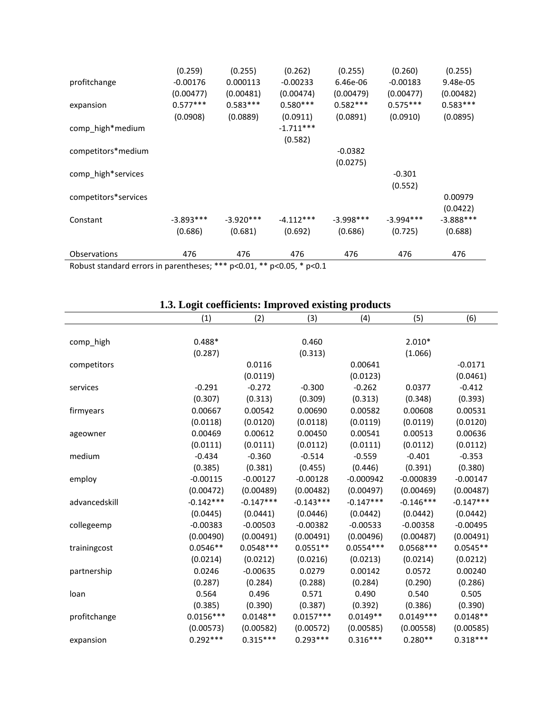|                      | (0.259)     | (0.255)     | (0.262)     | (0.255)     | (0.260)     | (0.255)      |
|----------------------|-------------|-------------|-------------|-------------|-------------|--------------|
| profitchange         | $-0.00176$  | 0.000113    | $-0.00233$  | 6.46e-06    | $-0.00183$  | 9.48e-05     |
|                      | (0.00477)   | (0.00481)   | (0.00474)   | (0.00479)   | (0.00477)   | (0.00482)    |
| expansion            | $0.577***$  | $0.583***$  | $0.580***$  | $0.582***$  | $0.575***$  | $0.583***$   |
|                      | (0.0908)    | (0.0889)    | (0.0911)    | (0.0891)    | (0.0910)    | (0.0895)     |
| comp_high*medium     |             |             | $-1.711***$ |             |             |              |
|                      |             |             | (0.582)     |             |             |              |
| competitors*medium   |             |             |             | $-0.0382$   |             |              |
|                      |             |             |             | (0.0275)    |             |              |
| comp_high*services   |             |             |             |             | $-0.301$    |              |
|                      |             |             |             |             | (0.552)     |              |
| competitors*services |             |             |             |             |             | 0.00979      |
|                      |             |             |             |             |             | (0.0422)     |
| Constant             | $-3.893***$ | $-3.920***$ | $-4.112***$ | $-3.998***$ | $-3.994***$ | $-3.888$ *** |
|                      | (0.686)     | (0.681)     | (0.692)     | (0.686)     | (0.725)     | (0.688)      |
|                      |             |             |             |             |             |              |
| Observations         | 476         | 476         | 476         | 476         | 476         | 476          |
|                      |             |             |             |             |             |              |

# **1.3. Logit coefficients: Improved existing products**

|               | (1)         | (2)         | (3)         | (4)         | (5)         | (6)         |
|---------------|-------------|-------------|-------------|-------------|-------------|-------------|
|               |             |             |             |             |             |             |
| comp_high     | $0.488*$    |             | 0.460       |             | $2.010*$    |             |
|               | (0.287)     |             | (0.313)     |             | (1.066)     |             |
| competitors   |             | 0.0116      |             | 0.00641     |             | $-0.0171$   |
|               |             | (0.0119)    |             | (0.0123)    |             | (0.0461)    |
| services      | $-0.291$    | $-0.272$    | $-0.300$    | $-0.262$    | 0.0377      | $-0.412$    |
|               | (0.307)     | (0.313)     | (0.309)     | (0.313)     | (0.348)     | (0.393)     |
| firmyears     | 0.00667     | 0.00542     | 0.00690     | 0.00582     | 0.00608     | 0.00531     |
|               | (0.0118)    | (0.0120)    | (0.0118)    | (0.0119)    | (0.0119)    | (0.0120)    |
| ageowner      | 0.00469     | 0.00612     | 0.00450     | 0.00541     | 0.00513     | 0.00636     |
|               | (0.0111)    | (0.0111)    | (0.0112)    | (0.0111)    | (0.0112)    | (0.0112)    |
| medium        | $-0.434$    | $-0.360$    | $-0.514$    | $-0.559$    | $-0.401$    | $-0.353$    |
|               | (0.385)     | (0.381)     | (0.455)     | (0.446)     | (0.391)     | (0.380)     |
| employ        | $-0.00115$  | $-0.00127$  | $-0.00128$  | $-0.000942$ | $-0.000839$ | $-0.00147$  |
|               | (0.00472)   | (0.00489)   | (0.00482)   | (0.00497)   | (0.00469)   | (0.00487)   |
| advancedskill | $-0.142***$ | $-0.147***$ | $-0.143***$ | $-0.147***$ | $-0.146***$ | $-0.147***$ |
|               | (0.0445)    | (0.0441)    | (0.0446)    | (0.0442)    | (0.0442)    | (0.0442)    |
| collegeemp    | $-0.00383$  | $-0.00503$  | $-0.00382$  | $-0.00533$  | $-0.00358$  | $-0.00495$  |
|               | (0.00490)   | (0.00491)   | (0.00491)   | (0.00496)   | (0.00487)   | (0.00491)   |
| trainingcost  | $0.0546**$  | $0.0548***$ | $0.0551**$  | $0.0554***$ | $0.0568***$ | $0.0545**$  |
|               | (0.0214)    | (0.0212)    | (0.0216)    | (0.0213)    | (0.0214)    | (0.0212)    |
| partnership   | 0.0246      | $-0.00635$  | 0.0279      | 0.00142     | 0.0572      | 0.00240     |
|               | (0.287)     | (0.284)     | (0.288)     | (0.284)     | (0.290)     | (0.286)     |
| loan          | 0.564       | 0.496       | 0.571       | 0.490       | 0.540       | 0.505       |
|               | (0.385)     | (0.390)     | (0.387)     | (0.392)     | (0.386)     | (0.390)     |
| profitchange  | $0.0156***$ | $0.0148**$  | $0.0157***$ | $0.0149**$  | $0.0149***$ | $0.0148**$  |
|               | (0.00573)   | (0.00582)   | (0.00572)   | (0.00585)   | (0.00558)   | (0.00585)   |
| expansion     | $0.292***$  | $0.315***$  | $0.293***$  | $0.316***$  | $0.280**$   | $0.318***$  |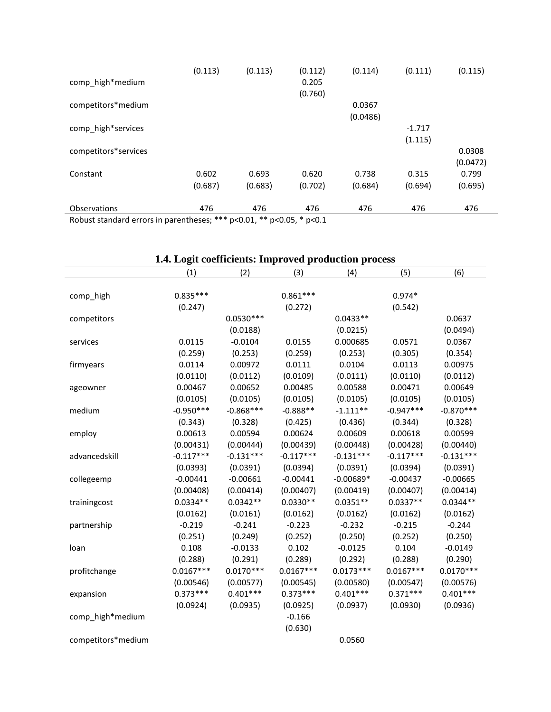| comp_high*medium                                                          | (0.113)          | (0.113)          | (0.112)<br>0.205<br>(0.760) | (0.114)            | (0.111)             | (0.115)            |
|---------------------------------------------------------------------------|------------------|------------------|-----------------------------|--------------------|---------------------|--------------------|
| competitors*medium                                                        |                  |                  |                             | 0.0367<br>(0.0486) |                     |                    |
| comp_high*services                                                        |                  |                  |                             |                    | $-1.717$<br>(1.115) |                    |
| competitors*services                                                      |                  |                  |                             |                    |                     | 0.0308<br>(0.0472) |
| Constant                                                                  | 0.602<br>(0.687) | 0.693<br>(0.683) | 0.620<br>(0.702)            | 0.738<br>(0.684)   | 0.315<br>(0.694)    | 0.799<br>(0.695)   |
| Observations                                                              | 476              | 476              | 476                         | 476                | 476                 | 476                |
| Boburt standard errors in parentheses, $***$ p<0.01 $**$ p<0.05 $*$ p<0.1 |                  |                  |                             |                    |                     |                    |

# **1.4. Logit coefficients: Improved production process**

|                    | (1)         | (2)         | (3)         | (4)         | (5)         | (6)         |
|--------------------|-------------|-------------|-------------|-------------|-------------|-------------|
|                    |             |             |             |             |             |             |
| comp_high          | $0.835***$  |             | $0.861***$  |             | $0.974*$    |             |
|                    | (0.247)     |             | (0.272)     |             | (0.542)     |             |
| competitors        |             | $0.0530***$ |             | $0.0433**$  |             | 0.0637      |
|                    |             | (0.0188)    |             | (0.0215)    |             | (0.0494)    |
| services           | 0.0115      | $-0.0104$   | 0.0155      | 0.000685    | 0.0571      | 0.0367      |
|                    | (0.259)     | (0.253)     | (0.259)     | (0.253)     | (0.305)     | (0.354)     |
| firmyears          | 0.0114      | 0.00972     | 0.0111      | 0.0104      | 0.0113      | 0.00975     |
|                    | (0.0110)    | (0.0112)    | (0.0109)    | (0.0111)    | (0.0110)    | (0.0112)    |
| ageowner           | 0.00467     | 0.00652     | 0.00485     | 0.00588     | 0.00471     | 0.00649     |
|                    | (0.0105)    | (0.0105)    | (0.0105)    | (0.0105)    | (0.0105)    | (0.0105)    |
| medium             | $-0.950***$ | $-0.868***$ | $-0.888**$  | $-1.111**$  | $-0.947***$ | $-0.870***$ |
|                    | (0.343)     | (0.328)     | (0.425)     | (0.436)     | (0.344)     | (0.328)     |
| employ             | 0.00613     | 0.00594     | 0.00624     | 0.00609     | 0.00618     | 0.00599     |
|                    | (0.00431)   | (0.00444)   | (0.00439)   | (0.00448)   | (0.00428)   | (0.00440)   |
| advancedskill      | $-0.117***$ | $-0.131***$ | $-0.117***$ | $-0.131***$ | $-0.117***$ | $-0.131***$ |
|                    | (0.0393)    | (0.0391)    | (0.0394)    | (0.0391)    | (0.0394)    | (0.0391)    |
| collegeemp         | $-0.00441$  | $-0.00661$  | $-0.00441$  | $-0.00689*$ | $-0.00437$  | $-0.00665$  |
|                    | (0.00408)   | (0.00414)   | (0.00407)   | (0.00419)   | (0.00407)   | (0.00414)   |
| trainingcost       | $0.0334**$  | $0.0342**$  | $0.0330**$  | $0.0351**$  | $0.0337**$  | $0.0344**$  |
|                    | (0.0162)    | (0.0161)    | (0.0162)    | (0.0162)    | (0.0162)    | (0.0162)    |
| partnership        | $-0.219$    | $-0.241$    | $-0.223$    | $-0.232$    | $-0.215$    | $-0.244$    |
|                    | (0.251)     | (0.249)     | (0.252)     | (0.250)     | (0.252)     | (0.250)     |
| loan               | 0.108       | $-0.0133$   | 0.102       | $-0.0125$   | 0.104       | $-0.0149$   |
|                    | (0.288)     | (0.291)     | (0.289)     | (0.292)     | (0.288)     | (0.290)     |
| profitchange       | $0.0167***$ | $0.0170***$ | $0.0167***$ | $0.0173***$ | $0.0167***$ | $0.0170***$ |
|                    | (0.00546)   | (0.00577)   | (0.00545)   | (0.00580)   | (0.00547)   | (0.00576)   |
| expansion          | $0.373***$  | $0.401***$  | $0.373***$  | $0.401***$  | $0.371***$  | $0.401***$  |
|                    | (0.0924)    | (0.0935)    | (0.0925)    | (0.0937)    | (0.0930)    | (0.0936)    |
| comp_high*medium   |             |             | $-0.166$    |             |             |             |
|                    |             |             | (0.630)     |             |             |             |
| competitors*medium |             |             |             | 0.0560      |             |             |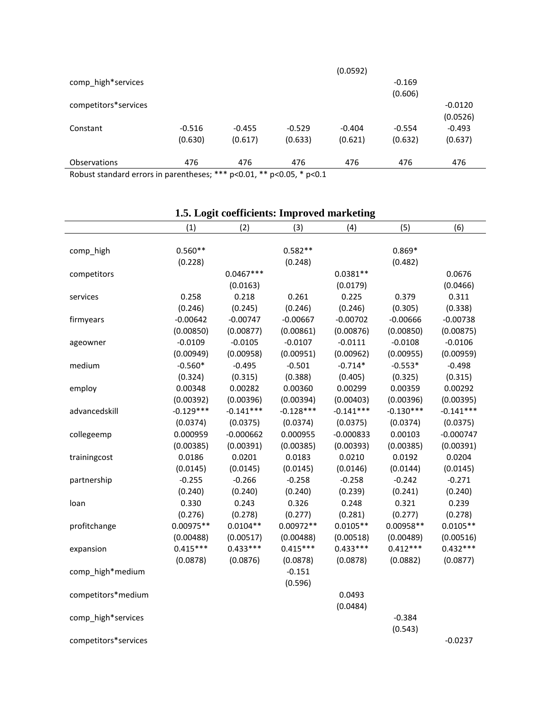| Delayet standard suppositions provides as $\ast\ast\ast\ast\circ\bullet$ 0.4 $\ast\ast\ast\circ\bullet$ 0.5 $\ast\ast\circ\bullet$ 1.4 |          |          |          |          |          |           |
|----------------------------------------------------------------------------------------------------------------------------------------|----------|----------|----------|----------|----------|-----------|
| <b>Observations</b>                                                                                                                    | 476      | 476      | 476      | 476      | 476      | 476       |
|                                                                                                                                        | (0.630)  | (0.617)  | (0.633)  | (0.621)  | (0.632)  | (0.637)   |
| Constant                                                                                                                               | $-0.516$ | $-0.455$ | $-0.529$ | $-0.404$ | $-0.554$ | $-0.493$  |
|                                                                                                                                        |          |          |          |          |          | (0.0526)  |
| competitors*services                                                                                                                   |          |          |          |          |          | $-0.0120$ |
|                                                                                                                                        |          |          |          |          | (0.606)  |           |
| comp_high*services                                                                                                                     |          |          |          |          | $-0.169$ |           |
|                                                                                                                                        |          |          |          | (0.0592) |          |           |

|                      | (1)         | (2)         | (3)         | (4)         | (5)         | (6)         |
|----------------------|-------------|-------------|-------------|-------------|-------------|-------------|
|                      |             |             |             |             |             |             |
| comp_high            | $0.560**$   |             | $0.582**$   |             | $0.869*$    |             |
|                      | (0.228)     |             | (0.248)     |             | (0.482)     |             |
| competitors          |             | $0.0467***$ |             | $0.0381**$  |             | 0.0676      |
|                      |             | (0.0163)    |             | (0.0179)    |             | (0.0466)    |
| services             | 0.258       | 0.218       | 0.261       | 0.225       | 0.379       | 0.311       |
|                      | (0.246)     | (0.245)     | (0.246)     | (0.246)     | (0.305)     | (0.338)     |
| firmyears            | $-0.00642$  | $-0.00747$  | $-0.00667$  | $-0.00702$  | $-0.00666$  | $-0.00738$  |
|                      | (0.00850)   | (0.00877)   | (0.00861)   | (0.00876)   | (0.00850)   | (0.00875)   |
| ageowner             | $-0.0109$   | $-0.0105$   | $-0.0107$   | $-0.0111$   | $-0.0108$   | $-0.0106$   |
|                      | (0.00949)   | (0.00958)   | (0.00951)   | (0.00962)   | (0.00955)   | (0.00959)   |
| medium               | $-0.560*$   | $-0.495$    | $-0.501$    | $-0.714*$   | $-0.553*$   | $-0.498$    |
|                      | (0.324)     | (0.315)     | (0.388)     | (0.405)     | (0.325)     | (0.315)     |
| employ               | 0.00348     | 0.00282     | 0.00360     | 0.00299     | 0.00359     | 0.00292     |
|                      | (0.00392)   | (0.00396)   | (0.00394)   | (0.00403)   | (0.00396)   | (0.00395)   |
| advancedskill        | $-0.129***$ | $-0.141***$ | $-0.128***$ | $-0.141***$ | $-0.130***$ | $-0.141***$ |
|                      | (0.0374)    | (0.0375)    | (0.0374)    | (0.0375)    | (0.0374)    | (0.0375)    |
| collegeemp           | 0.000959    | $-0.000662$ | 0.000955    | $-0.000833$ | 0.00103     | $-0.000747$ |
|                      | (0.00385)   | (0.00391)   | (0.00385)   | (0.00393)   | (0.00385)   | (0.00391)   |
| trainingcost         | 0.0186      | 0.0201      | 0.0183      | 0.0210      | 0.0192      | 0.0204      |
|                      | (0.0145)    | (0.0145)    | (0.0145)    | (0.0146)    | (0.0144)    | (0.0145)    |
| partnership          | $-0.255$    | $-0.266$    | $-0.258$    | $-0.258$    | $-0.242$    | $-0.271$    |
|                      | (0.240)     | (0.240)     | (0.240)     | (0.239)     | (0.241)     | (0.240)     |
| loan                 | 0.330       | 0.243       | 0.326       | 0.248       | 0.321       | 0.239       |
|                      | (0.276)     | (0.278)     | (0.277)     | (0.281)     | (0.277)     | (0.278)     |
| profitchange         | $0.00975**$ | $0.0104**$  | $0.00972**$ | $0.0105**$  | $0.00958**$ | $0.0105**$  |
|                      | (0.00488)   | (0.00517)   | (0.00488)   | (0.00518)   | (0.00489)   | (0.00516)   |
| expansion            | $0.415***$  | $0.433***$  | $0.415***$  | $0.433***$  | $0.412***$  | $0.432***$  |
|                      | (0.0878)    | (0.0876)    | (0.0878)    | (0.0878)    | (0.0882)    | (0.0877)    |
| comp_high*medium     |             |             | $-0.151$    |             |             |             |
|                      |             |             | (0.596)     |             |             |             |
| competitors*medium   |             |             |             | 0.0493      |             |             |
|                      |             |             |             | (0.0484)    |             |             |
| comp_high*services   |             |             |             |             | $-0.384$    |             |
|                      |             |             |             |             | (0.543)     |             |
| competitors*services |             |             |             |             |             | $-0.0237$   |
|                      |             |             |             |             |             |             |

# **1.5. Logit coefficients: Improved marketing**